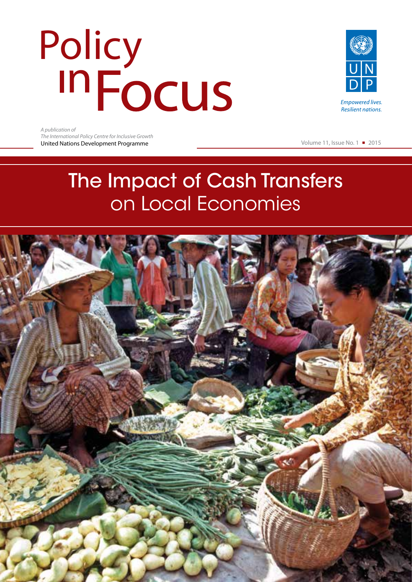# Policy<br>In Focus



*A publication of The International Policy Centre for Inclusive Growth*

United Nations Development Programme Volume 11, Issue No. 1 | 2015

# The Impact of Cash Transfers on Local Economies

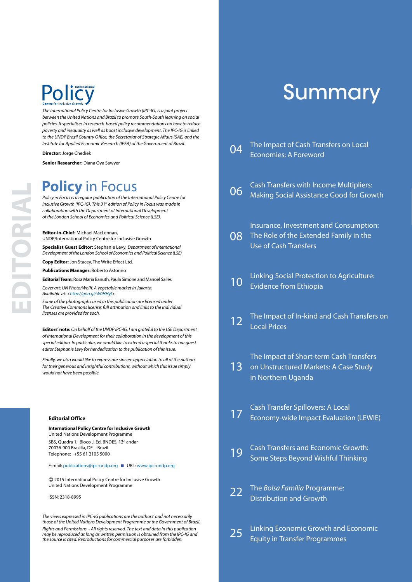# Policy

*The International Policy Centre for Inclusive Growth (IPC-IG) is a joint project between the United Nations and Brazil to promote South-South learning on social policies. It specialises in research-based policy recommendations on how to reduce poverty and inequality as well as boost inclusive development. The IPC-IG is linked to the UNDP Brazil Country Office, the Secretariat of Strategic Affairs (SAE) and the Institute for Applied Economic Research (IPEA) of the Government of Brazil.*

**Director:** Jorge Chediek

**Senior Researcher:** Diana Oya Sawyer

# **Policy** in Focus

*Policy in Focus is a regular publication of the International Policy Centre for Inclusive Growth (IPC-IG). This 31st edition of Policy in Focus was made in collaboration with the Department of International Development of the London School of Economics and Political Science (LSE).*

**Editor-in-Chief:** Michael MacLennan,

UNDP/International Policy Centre for Inclusive Growth **Specialist Guest Editor:** Stephanie Levy, *Department of International Development of the London School of Economics and Political Science (LSE)*

**Copy Editor:** Jon Stacey, The Write Effect Ltd.

**Publications Manager:** Roberto Astorino

**Editorial Team:**Rosa Maria Banuth, Paula Simone and Manoel Salles

*Cover art: UN Photo/Wolff. A vegetable market in Jakarta. Available at: <http://goo.gl/W0HHyI>.*

*Some of the photographs used in this publication are licensed under The Creative Commons license; full attribution and links to the individual licenses are provided for each.* 

**Editors' note:** *On behalf of the UNDP IPC-IG, I am grateful to the LSE Department of International Development for their collaboration in the development of this special edition. In particular, we would like to extend a special thanks to our guest editor Stephanie Levy for her dedication to the publication of this issue.* 

*Finally, we also would like to express our sincere appreciation to all of the authors for their generous and insightful contributions, without which this issue simply would not have been possible.*

### **Editorial Office**

### **International Policy Centre for Inclusive Growth** United Nations Development Programme

SBS, Quadra 1, Bloco J, Ed. BNDES, 13º andar 70076-900 Brasilia, DF - Brazil Telephone: +55 61 2105 5000

E-mail: publications@ipc-undp.org URL: www.ipc-undp.org

© 2015 International Policy Centre for Inclusive Growth United Nations Development Programme

ISSN: 2318-8995

*The views expressed in IPC-IG publications are the authors' and not necessarily those of the United Nations Development Programme or the Government of Brazil. Rights and Permissions – All rights reserved. The text and data in this publication may be reproduced as long as written permission is obtained from the IPC-IG and the source is cited. Reproductions for commercial purposes are forbidden.* 

# Summary

| )4 | The Impact of Cash Transfers on Local<br><b>Economies: A Foreword</b>                                            |
|----|------------------------------------------------------------------------------------------------------------------|
| 06 | <b>Cash Transfers with Income Multipliers:</b><br>Making Social Assistance Good for Growth                       |
| 08 | Insurance, Investment and Consumption:<br>The Role of the Extended Family in the<br><b>Use of Cash Transfers</b> |
| 10 | Linking Social Protection to Agriculture:<br><b>Evidence from Ethiopia</b>                                       |
| 12 | The Impact of In-kind and Cash Transfers on<br><b>Local Prices</b>                                               |
| 13 | The Impact of Short-term Cash Transfers<br>on Unstructured Markets: A Case Study<br>in Northern Uganda           |
|    | <b>Cash Transfer Spillovers: A Local</b><br>Economy-wide Impact Evaluation (LEWIE)                               |
| 19 | <b>Cash Transfers and Economic Growth:</b><br>Some Steps Beyond Wishful Thinking                                 |
|    | The Bolsa Família Programme:                                                                                     |

Distribution and Growth

Linking Economic Growth and Economic Equity in Transfer Programmes 25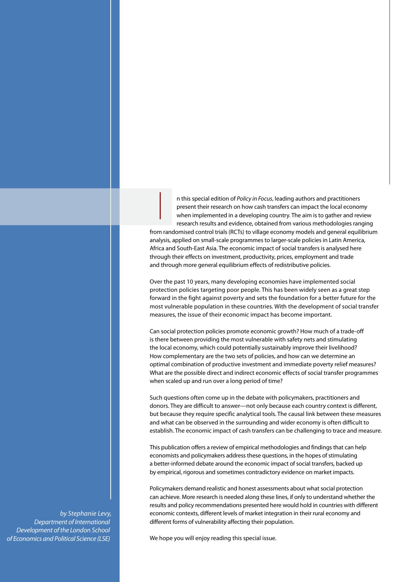n this special edition of *Policy in Focus*, leading authors and practitioners present their research on how cash transfers can impact the local economy when implemented in a developing country. The aim is to gather and review research results and evidence, obtained from various methodologies ranging

from randomised control trials (RCTs) to village economy models and general equilibrium analysis, applied on small-scale programmes to larger-scale policies in Latin America, Africa and South-East Asia. The economic impact of social transfers is analysed here through their effects on investment, productivity, prices, employment and trade and through more general equilibrium effects of redistributive policies.  $\begin{array}{c} \hline \end{array}$ 

Over the past 10 years, many developing economies have implemented social protection policies targeting poor people. This has been widely seen as a great step forward in the fight against poverty and sets the foundation for a better future for the most vulnerable population in these countries. With the development of social transfer measures, the issue of their economic impact has become important.

Can social protection policies promote economic growth? How much of a trade-off is there between providing the most vulnerable with safety nets and stimulating the local economy, which could potentially sustainably improve their livelihood? How complementary are the two sets of policies, and how can we determine an optimal combination of productive investment and immediate poverty relief measures? What are the possible direct and indirect economic effects of social transfer programmes when scaled up and run over a long period of time?

Such questions often come up in the debate with policymakers, practitioners and donors. They are difficult to answer—not only because each country context is different, but because they require specific analytical tools. The causal link between these measures and what can be observed in the surrounding and wider economy is often difficult to establish. The economic impact of cash transfers can be challenging to trace and measure.

This publication offers a review of empirical methodologies and findings that can help economists and policymakers address these questions, in the hopes of stimulating a better-informed debate around the economic impact of social transfers, backed up by empirical, rigorous and sometimes contradictory evidence on market impacts.

Policymakers demand realistic and honest assessments about what social protection can achieve. More research is needed along these lines, if only to understand whether the results and policy recommendations presented here would hold in countries with different economic contexts, different levels of market integration in their rural economy and different forms of vulnerability affecting their population.

We hope you will enjoy reading this special issue.

*by Stephanie Levy, Department of International Development of the London School of Economics and Political Science (LSE)*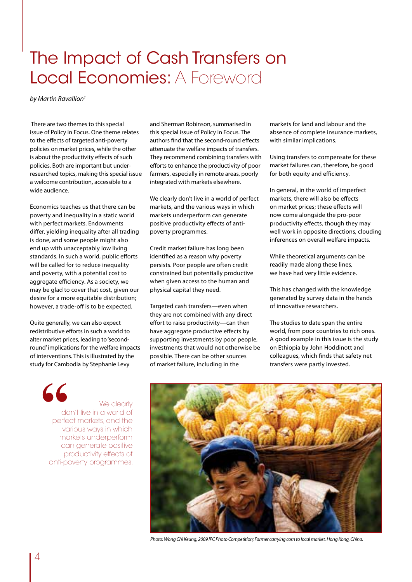# The Impact of Cash Transfers on Local Economies: A Foreword

*by Martin Ravallion1*

 There are two themes to this special issue of Policy in Focus. One theme relates to the effects of targeted anti-poverty policies on market prices, while the other is about the productivity effects of such policies. Both are important but underresearched topics, making this special issue a welcome contribution, accessible to a wide audience.

Economics teaches us that there can be poverty and inequality in a static world with perfect markets. Endowments differ, yielding inequality after all trading is done, and some people might also end up with unacceptably low living standards. In such a world, public efforts will be called for to reduce inequality and poverty, with a potential cost to aggregate efficiency. As a society, we may be glad to cover that cost, given our desire for a more equitable distribution; however, a trade-off is to be expected.

Quite generally, we can also expect redistributive efforts in such a world to alter market prices, leading to 'secondround' implications for the welfare impacts of interventions. This is illustrated by the study for Cambodia by Stephanie Levy

> **Solution**<br>
> We clearly<br>
> don't live in a world of<br>
> perfect markets, and the<br>
> various ways in which don't live in a world of perfect markets, and the various ways in which markets underperform can generate positive productivity effects of anti-poverty programmes.

and Sherman Robinson, summarised in this special issue of Policy in Focus. The authors find that the second-round effects attenuate the welfare impacts of transfers. They recommend combining transfers with efforts to enhance the productivity of poor farmers, especially in remote areas, poorly integrated with markets elsewhere.

We clearly don't live in a world of perfect markets, and the various ways in which markets underperform can generate positive productivity effects of antipoverty programmes.

Credit market failure has long been identified as a reason why poverty persists. Poor people are often credit constrained but potentially productive when given access to the human and physical capital they need.

Targeted cash transfers—even when they are not combined with any direct effort to raise productivity—can then have aggregate productive effects by supporting investments by poor people, investments that would not otherwise be possible. There can be other sources of market failure, including in the

markets for land and labour and the absence of complete insurance markets, with similar implications.

Using transfers to compensate for these market failures can, therefore, be good for both equity and efficiency.

In general, in the world of imperfect markets, there will also be effects on market prices; these effects will now come alongside the pro-poor productivity effects, though they may well work in opposite directions, clouding inferences on overall welfare impacts.

While theoretical arguments can be readily made along these lines, we have had very little evidence.

This has changed with the knowledge generated by survey data in the hands of innovative researchers.

The studies to date span the entire world, from poor countries to rich ones. A good example in this issue is the study on Ethiopia by John Hoddinott and colleagues, which finds that safety net transfers were partly invested.



*Photo: Wong Chi Keung, 2009 IPC Photo Competition; Farmer carrying corn to local market. Hong Kong, China.*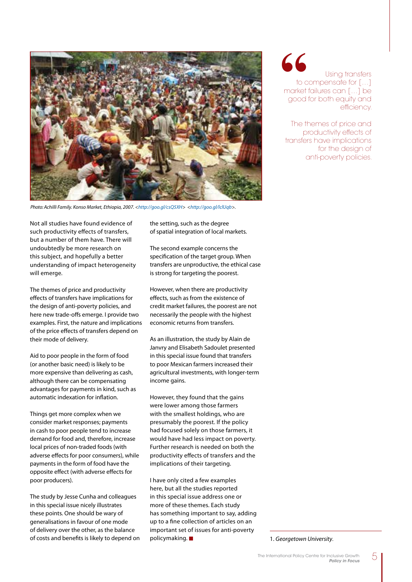

*Photo: Achilli Family. Konso Market, Ethiopia, 2007. <http://goo.gl/csQ5XH> <http://goo.gl/lclUqb>.*

Not all studies have found evidence of such productivity effects of transfers, but a number of them have. There will undoubtedly be more research on this subject, and hopefully a better understanding of impact heterogeneity will emerge.

The themes of price and productivity effects of transfers have implications for the design of anti-poverty policies, and here new trade-offs emerge. I provide two examples. First, the nature and implications of the price effects of transfers depend on their mode of delivery.

Aid to poor people in the form of food (or another basic need) is likely to be more expensive than delivering as cash, although there can be compensating advantages for payments in kind, such as automatic indexation for inflation.

Things get more complex when we consider market responses; payments in cash to poor people tend to increase demand for food and, therefore, increase local prices of non-traded foods (with adverse effects for poor consumers), while payments in the form of food have the opposite effect (with adverse effects for poor producers).

The study by Jesse Cunha and colleagues in this special issue nicely illustrates these points. One should be wary of generalisations in favour of one mode of delivery over the other, as the balance of costs and benefits is likely to depend on the setting, such as the degree of spatial integration of local markets.

The second example concerns the specification of the target group. When transfers are unproductive, the ethical case is strong for targeting the poorest.

However, when there are productivity effects, such as from the existence of credit market failures, the poorest are not necessarily the people with the highest economic returns from transfers.

As an illustration, the study by Alain de Janvry and Elisabeth Sadoulet presented in this special issue found that transfers to poor Mexican farmers increased their agricultural investments, with longer-term income gains.

However, they found that the gains were lower among those farmers with the smallest holdings, who are presumably the poorest. If the policy had focused solely on those farmers, it would have had less impact on poverty. Further research is needed on both the productivity effects of transfers and the implications of their targeting.

I have only cited a few examples here, but all the studies reported in this special issue address one or more of these themes. Each study has something important to say, adding up to a fine collection of articles on an important set of issues for anti-poverty policymaking. 1. *Georgetown University*.

**Solution**<br> **Solution**<br>
Using transfers<br>
to compensate for [...]<br>
be good for both equity and to compensate for […] market failures can […] be good for both equity and efficiency.

The themes of price and productivity effects of transfers have implications for the design of anti-poverty policies.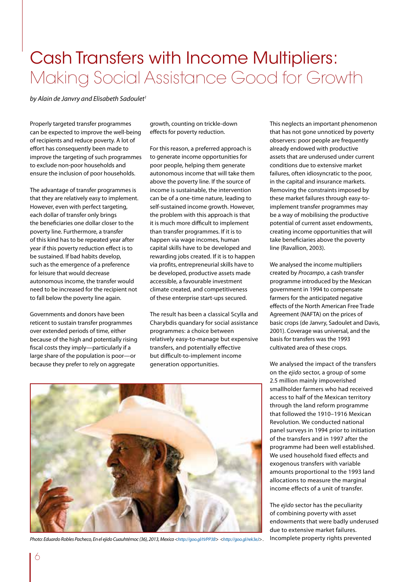# Cash Transfers with Income Multipliers: Making Social Assistance Good for Growth

*by Alain de Janvry and Elisabeth Sadoulet1*

Properly targeted transfer programmes can be expected to improve the well-being of recipients and reduce poverty. A lot of effort has consequently been made to improve the targeting of such programmes to exclude non-poor households and ensure the inclusion of poor households.

The advantage of transfer programmes is that they are relatively easy to implement. However, even with perfect targeting, each dollar of transfer only brings the beneficiaries one dollar closer to the poverty line. Furthermore, a transfer of this kind has to be repeated year after year if this poverty reduction effect is to be sustained. If bad habits develop, such as the emergence of a preference for leisure that would decrease autonomous income, the transfer would need to be increased for the recipient not to fall below the poverty line again.

Governments and donors have been reticent to sustain transfer programmes over extended periods of time, either because of the high and potentially rising fiscal costs they imply—particularly if a large share of the population is poor—or because they prefer to rely on aggregate

growth, counting on trickle-down effects for poverty reduction.

For this reason, a preferred approach is to generate income opportunities for poor people, helping them generate autonomous income that will take them above the poverty line. If the source of income is sustainable, the intervention can be of a one-time nature, leading to self-sustained income growth. However, the problem with this approach is that it is much more difficult to implement than transfer programmes. If it is to happen via wage incomes, human capital skills have to be developed and rewarding jobs created. If it is to happen via profits, entrepreneurial skills have to be developed, productive assets made accessible, a favourable investment climate created, and competitiveness of these enterprise start-ups secured.

The result has been a classical Scylla and Charybdis quandary for social assistance programmes: a choice between relatively easy-to-manage but expensive transfers, and potentially effective but difficult-to-implement income generation opportunities.

This neglects an important phenomenon that has not gone unnoticed by poverty observers: poor people are frequently already endowed with productive assets that are underused under current conditions due to extensive market failures, often idiosyncratic to the poor, in the capital and insurance markets. Removing the constraints imposed by these market failures through easy-toimplement transfer programmes may be a way of mobilising the productive potential of current asset endowments, creating income opportunities that will take beneficiaries above the poverty line (Ravallion, 2003).

We analysed the income multipliers created by *Procampo*, a cash transfer programme introduced by the Mexican government in 1994 to compensate farmers for the anticipated negative effects of the North American Free Trade Agreement (NAFTA) on the prices of basic crops (de Janvry, Sadoulet and Davis, 2001). Coverage was universal, and the basis for transfers was the 1993 cultivated area of these crops.

We analysed the impact of the transfers on the *ejido* sector, a group of some 2.5 million mainly impoverished smallholder farmers who had received access to half of the Mexican territory through the land reform programme that followed the 1910–1916 Mexican Revolution. We conducted national panel surveys in 1994 prior to initiation of the transfers and in 1997 after the programme had been well established. We used household fixed effects and exogenous transfers with variable amounts proportional to the 1993 land allocations to measure the marginal income effects of a unit of transfer.

The *ejido* sector has the peculiarity of combining poverty with asset endowments that were badly underused due to extensive market failures. Incomplete property rights prevented



*Photo: Eduardo Robles Pacheco, En el ejido Cuauhtémoc (36), 2013, Mexico <http://goo.gl/tVPP3B> <http://goo.gl/rek3eJ> .*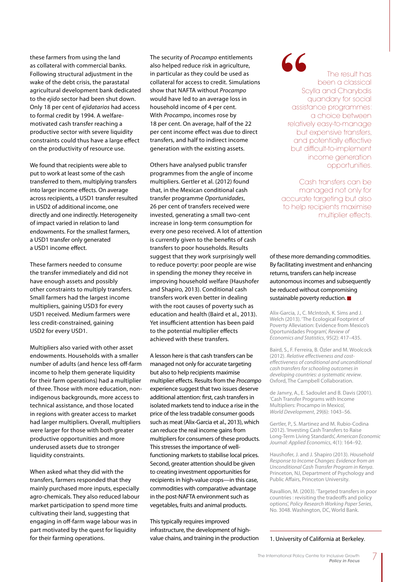these farmers from using the land as collateral with commercial banks. Following structural adjustment in the wake of the debt crisis, the parastatal agricultural development bank dedicated to the *ejido* sector had been shut down. Only 18 per cent of *ejidatarios* had access to formal credit by 1994. A welfaremotivated cash transfer reaching a productive sector with severe liquidity constraints could thus have a large effect on the productivity of resource use.

We found that recipients were able to put to work at least some of the cash transferred to them, multiplying transfers into larger income effects. On average across recipients, a USD1 transfer resulted in USD2 of additional income, one directly and one indirectly. Heterogeneity of impact varied in relation to land endowments. For the smallest farmers, a USD1 transfer only generated a USD1 income effect.

These farmers needed to consume the transfer immediately and did not have enough assets and possibly other constraints to multiply transfers. Small farmers had the largest income multipliers, gaining USD3 for every USD1 received. Medium farmers were less credit-constrained, gaining USD2 for every USD1.

Multipliers also varied with other asset endowments. Households with a smaller number of adults (and hence less off-farm income to help them generate liquidity for their farm operations) had a multiplier of three. Those with more education, nonindigenous backgrounds, more access to technical assistance, and those located in regions with greater access to market had larger multipliers. Overall, multipliers were larger for those with both greater productive opportunities and more underused assets due to stronger liquidity constraints.

When asked what they did with the transfers, farmers responded that they mainly purchased more inputs, especially agro-chemicals. They also reduced labour market participation to spend more time cultivating their land, suggesting that engaging in off-farm wage labour was in part motivated by the quest for liquidity for their farming operations.

The security of *Procampo* entitlements also helped reduce risk in agriculture, in particular as they could be used as collateral for access to credit. Simulations show that NAFTA without *Procampo* would have led to an average loss in household income of 4 per cent. With *Procampo*, incomes rose by 18 per cent. On average, half of the 22 per cent income effect was due to direct transfers, and half to indirect income generation with the existing assets.

Others have analysed public transfer programmes from the angle of income multipliers. Gertler et al. (2012) found that, in the Mexican conditional cash transfer programme *Oportunidades*, 26 per cent of transfers received were invested, generating a small two-cent increase in long-term consumption for every one peso received. A lot of attention is currently given to the benefits of cash transfers to poor households. Results suggest that they work surprisingly well to reduce poverty: poor people are wise in spending the money they receive in improving household welfare (Haushofer and Shapiro, 2013). Conditional cash transfers work even better in dealing with the root causes of poverty such as education and health (Baird et al., 2013). Yet insufficient attention has been paid to the potential multiplier effects achieved with these transfers.

A lesson here is that cash transfers can be managed not only for accurate targeting but also to help recipients maximise multiplier effects. Results from the *Procampo* experience suggest that two issues deserve additional attention: first, cash transfers in isolated markets tend to induce a rise in the price of the less tradable consumer goods such as meat (Alix-Garcia et al., 2013), which can reduce the real income gains from multipliers for consumers of these products. This stresses the importance of wellfunctioning markets to stabilise local prices. Second, greater attention should be given to creating investment opportunities for recipients in high-value crops—in this case, commodities with comparative advantage in the post-NAFTA environment such as vegetables, fruits and animal products.

This typically requires improved infrastructure, the development of highvalue chains, and training in the production **6**<br>
The result has<br>
been a classical<br>
Scylla and Charybdis<br>
quandary for social been a classical Scylla and Charybdis quandary for social assistance programmes: a choice between relatively easy-to-manage but expensive transfers, and potentially effective but difficult-to-implement income generation opportunities.

Cash transfers can be managed not only for accurate targeting but also to help recipients maximise multiplier effects.

of these more demanding commodities. By facilitating investment and enhancing returns, transfers can help increase autonomous incomes and subsequently be reduced without compromising sustainable poverty reduction.

Alix-Garcia, J., C. McIntosh, K. Sims and J. Welch (2013). 'The Ecological Footprint of Poverty Alleviation: Evidence from Mexico's Oportunidades Program', *Review of Economics and Statistics*, 95(2): 417–435.

Baird, S., F. Ferreira, B. Özler and M. Woolcock (2012). *Relative effectiveness and costeffectiveness of conditional and unconditional cash transfers for schooling outcomes in developing countries: a systematic review*. Oxford, The Campbell Collaboration.

de Janvry, A., E. Sadoulet and B. Davis (2001). 'Cash Transfer Programs with Income Multipliers: Procampo in Mexico', *World Development*, 29(6): 1043–56.

Gertler, P., S. Martinez and M. Rubio-Codina (2012). 'Investing Cash Transfers to Raise Long-Term Living Standards', *American Economic Journal: Applied Economics*, 4(1): 164–92.

Haushofer, J. and J. Shapiro (2013). *Household Response to Income Changes: Evidence from an Unconditional Cash Transfer Program in Kenya*. Princeton, NJ, Department of Psychology and Public Affairs, Princeton University.

Ravallion, M. (2003). 'Targeted transfers in poor countries : revisiting the tradeoffs and policy options', *Policy Research Working Paper Series*, No. 3048. Washington, DC, World Bank.

1. University of California at Berkeley.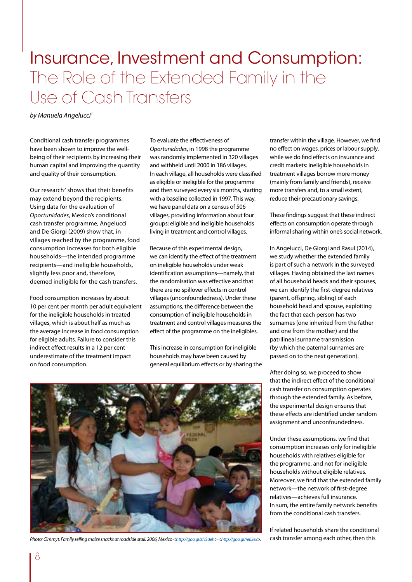# Insurance, Investment and Consumption: The Role of the Extended Family in the Use of Cash Transfers

*by Manuela Angelucci1*

Conditional cash transfer programmes have been shown to improve the wellbeing of their recipients by increasing their human capital and improving the quantity and quality of their consumption.

Our research<sup>2</sup> shows that their benefits may extend beyond the recipients. Using data for the evaluation of *Oportunidades*, Mexico's conditional cash transfer programme, Angelucci and De Giorgi (2009) show that, in villages reached by the programme, food consumption increases for both eligible households—the intended programme recipients—and ineligible households, slightly less poor and, therefore, deemed ineligible for the cash transfers.

Food consumption increases by about 10 per cent per month per adult equivalent for the ineligible households in treated villages, which is about half as much as the average increase in food consumption for eligible adults. Failure to consider this indirect effect results in a 12 per cent underestimate of the treatment impact on food consumption.

To evaluate the effectiveness of *Oportunidades*, in 1998 the programme was randomly implemented in 320 villages and withheld until 2000 in 186 villages. In each village, all households were classified as eligible or ineligible for the programme and then surveyed every six months, starting with a baseline collected in 1997. This way, we have panel data on a census of 506 villages, providing information about four groups: eligible and ineligible households living in treatment and control villages.

Because of this experimental design, we can identify the effect of the treatment on ineligible households under weak identification assumptions—namely, that the randomisation was effective and that there are no spillover effects in control villages (unconfoundedness). Under these assumptions, the difference between the consumption of ineligible households in treatment and control villages measures the effect of the programme on the ineligibles.

This increase in consumption for ineligible households may have been caused by general equilibrium effects or by sharing the transfer within the village. However, we find no effect on wages, prices or labour supply, while we do find effects on insurance and credit markets: ineligible households in treatment villages borrow more money (mainly from family and friends), receive more transfers and, to a small extent, reduce their precautionary savings.

These findings suggest that these indirect effects on consumption operate through informal sharing within one's social network.

In Angelucci, De Giorgi and Rasul (2014), we study whether the extended family is part of such a network in the surveyed villages. Having obtained the last names of all household heads and their spouses, we can identify the first-degree relatives (parent, offspring, sibling) of each household head and spouse, exploiting the fact that each person has two surnames (one inherited from the father and one from the mother) and the patrilineal surname transmission (by which the paternal surnames are passed on to the next generation).

After doing so, we proceed to show that the indirect effect of the conditional cash transfer on consumption operates through the extended family. As before, the experimental design ensures that these effects are identified under random assignment and unconfoundedness.

Under these assumptions, we find that consumption increases only for ineligible households with relatives eligible for the programme, and not for ineligible households without eligible relatives. Moreover, we find that the extended family network—the network of first-degree relatives—achieves full insurance. In sum, the entire family network benefits from the conditional cash transfers.

If related households share the conditional



*Photo: Cimmyt. Family selling maize snacks at roadside stall, 2006, Mexico <http://goo.gl/zHSdeh> <http://goo.gl/rek3eJ>.* cash transfer among each other, then this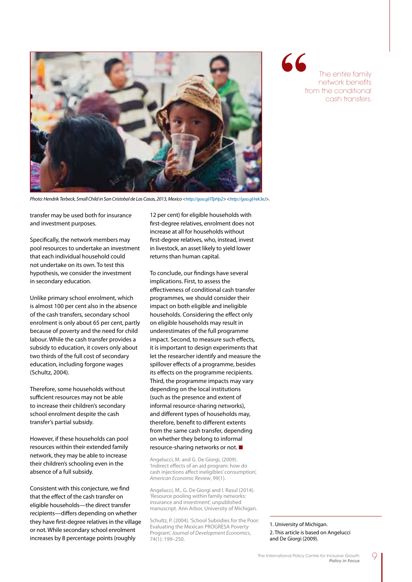

*Photo: Hendrik Terbeck, Small Child in San Cristobal de Las Casas, 2013, Mexico <http://goo.gl/ITpHp2> <http://goo.gl/rek3eJ>.*

transfer may be used both for insurance and investment purposes.

Specifically, the network members may pool resources to undertake an investment that each individual household could not undertake on its own. To test this hypothesis, we consider the investment in secondary education.

Unlike primary school enrolment, which is almost 100 per cent also in the absence of the cash transfers, secondary school enrolment is only about 65 per cent, partly because of poverty and the need for child labour. While the cash transfer provides a subsidy to education, it covers only about two thirds of the full cost of secondary education, including forgone wages (Schultz, 2004).

Therefore, some households without sufficient resources may not be able to increase their children's secondary school enrolment despite the cash transfer's partial subsidy.

However, if these households can pool resources within their extended family network, they may be able to increase their children's schooling even in the absence of a full subsidy.

Consistent with this conjecture, we find that the effect of the cash transfer on eligible households—the direct transfer recipients—differs depending on whether they have first-degree relatives in the village or not. While secondary school enrolment increases by 8 percentage points (roughly

12 per cent) for eligible households with first-degree relatives, enrolment does not increase at all for households without first-degree relatives, who, instead, invest in livestock, an asset likely to yield lower returns than human capital.

To conclude, our findings have several implications. First, to assess the effectiveness of conditional cash transfer programmes, we should consider their impact on both eligible and ineligible households. Considering the effect only on eligible households may result in underestimates of the full programme impact. Second, to measure such effects, it is important to design experiments that let the researcher identify and measure the spillover effects of a programme, besides its effects on the programme recipients. Third, the programme impacts may vary depending on the local institutions (such as the presence and extent of informal resource-sharing networks), and different types of households may, therefore, benefit to different extents from the same cash transfer, depending on whether they belong to informal resource-sharing networks or not.

Angelucci, M. and G. De Giorgi, (2009). 'Indirect effects of an aid program: how do cash injections affect ineligibles' consumption', *American Economic Review*, 99(1).

Angelucci, M., G. De Giorgi and I. Rasul (2014). 'Resource pooling within family networks: insurance and investment', unpublished manuscript. Ann Arbor, University of Michigan.

Schultz, P. (2004). 'School Subsidies for the Poor: Evaluating the Mexican PROGRESA Poverty Program', *Journal of Development Economics*, 74(1): 199–250.

**Solution**<br>The entire family<br>network benefits<br>from the conditional<br>cash transfers. network benefits from the conditional cash transfers.

1. University of Michigan. 2. This article is based on Angelucci and De Giorgi (2009).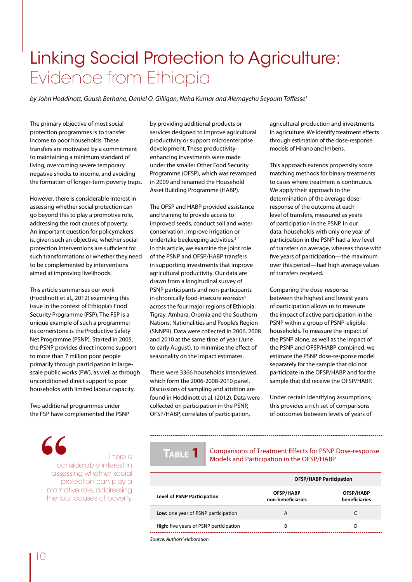# Linking Social Protection to Agriculture: Evidence from Ethiopia

*by John Hoddinott, Guush Berhane, Daniel O. Gilligan, Neha Kumar and Alemayehu Seyoum Taffesse1*

The primary objective of most social protection programmes is to transfer income to poor households. These transfers are motivated by a commitment to maintaining a minimum standard of living, overcoming severe temporary negative shocks to income, and avoiding the formation of longer-term poverty traps.

However, there is considerable interest in assessing whether social protection can go beyond this to play a promotive role, addressing the root causes of poverty. An important question for policymakers is, given such an objective, whether social protection interventions are sufficient for such transformations or whether they need to be complemented by interventions aimed at improving livelihoods.

This article summarises our work (Hoddinott et al., 2012) examining this issue in the context of Ethiopia's Food Security Programme (FSP). The FSP is a unique example of such a programme; its cornerstone is the Productive Safety Net Programme (PSNP). Started in 2005, the PSNP provides direct income support to more than 7 million poor people primarily through participation in largescale public works (PW), as well as through unconditioned direct support to poor households with limited labour capacity.

Two additional programmes under the FSP have complemented the PSNP

> **Solution**<br>
> There is<br>
> considerable interest in<br>
> assessing whether social<br>
> protection can play a considerable interest in assessing whether social protection can play a promotive role, addressing the root causes of poverty.

by providing additional products or services designed to improve agricultural productivity or support microenterprise development. These productivityenhancing investments were made under the smaller Other Food Security Programme (OFSP), which was revamped in 2009 and renamed the Household Asset Building Programme (HABP).

The OFSP and HABP provided assistance and training to provide access to improved seeds, conduct soil and water conservation, improve irrigation or undertake beekeeping activities.<sup>2</sup> In this article, we examine the joint role of the PSNP and OFSP/HABP transfers in supporting investments that improve agricultural productivity. Our data are drawn from a longitudinal survey of PSNP participants and non-participants in chronically food-insecure *woredas*<sup>3</sup> across the four major regions of Ethiopia: Tigray, Amhara, Oromia and the Southern Nations, Nationalities and People's Region (SNNPR). Data were collected in 2006, 2008 and 2010 at the same time of year (June to early August), to minimise the effect of seasonality on the impact estimates.

There were 3366 households interviewed, which form the 2006-2008-2010 panel. Discussions of sampling and attrition are found in Hoddinott et al. (2012). Data were collected on participation in the PSNP, OFSP/HABP, correlates of participation,

agricultural production and investments in agriculture. We identify treatment effects through estimation of the dose-response models of Hirano and Imbens.

This approach extends propensity score matching methods for binary treatments to cases where treatment is continuous. We apply their approach to the determination of the average doseresponse of the outcome at each level of transfers, measured as years of participation in the PSNP. In our data, households with only one year of participation in the PSNP had a low level of transfers on average, whereas those with five years of participation—the maximum over this period—had high average values of transfers received.

Comparing the dose-response between the highest and lowest years of participation allows us to measure the impact of active participation in the PSNP within a group of PSNP-eligible households. To measure the impact of the PSNP alone, as well as the impact of the PSNP and OFSP/HABP combined, we estimate the PSNP dose-response model separately for the sample that did not participate in the OFSP/HABP and for the sample that did receive the OFSP/HABP.

Under certain identifying assumptions, this provides a rich set of comparisons of outcomes between levels of years of

**TABLE 1** Comparisons of Treatment Effects for PSNP Dose-response<br>Models and Participation in the OFSP/HABP

| <b>OFSP/HABP Participation</b> |                            |  |
|--------------------------------|----------------------------|--|
| OFSP/HABP<br>non-beneficiaries | OFSP/HABP<br>beneficiaries |  |
| A                              |                            |  |
| В                              | D                          |  |
|                                |                            |  |

*Source: Authors' elaboration.*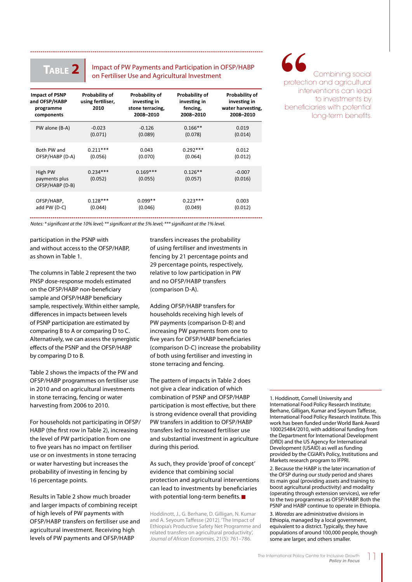### Impact of PW Payments and Participation in OFSP/HABP **TABLE 2** | Impact of PW Payments and Participation in G<br>TABLE 2 | on Fertiliser Use and Agricultural Investment

| <b>Impact of PSNP</b><br>and OFSP/HABP<br>programme<br>components | Probability of<br>using fertiliser,<br>2010 | Probability of<br>investing in<br>stone terracing,<br>2008-2010 | <b>Probability of</b><br>investing in<br>fencing,<br>2008-2010 | Probability of<br>investing in<br>water harvesting,<br>2008-2010 |
|-------------------------------------------------------------------|---------------------------------------------|-----------------------------------------------------------------|----------------------------------------------------------------|------------------------------------------------------------------|
| PW alone (B-A)                                                    | $-0.023$                                    | $-0.126$                                                        | $0.166**$                                                      | 0.019                                                            |
|                                                                   | (0.071)                                     | (0.089)                                                         | (0.078)                                                        | (0.014)                                                          |
| Both PW and                                                       | $0.211***$                                  | 0.043                                                           | $0.292***$                                                     | 0.012                                                            |
| OFSP/HABP (D-A)                                                   | (0.056)                                     | (0.070)                                                         | (0.064)                                                        | (0.012)                                                          |
| High PW<br>payments plus<br>OFSP/HABP (D-B)                       | $0.234***$<br>(0.052)                       | $0.169***$<br>(0.055)                                           | $0.126**$<br>(0.057)                                           | $-0.007$<br>(0.016)                                              |
| OFSP/HABP,                                                        | $0.128***$                                  | $0.099**$                                                       | $0.223***$                                                     | 0.003                                                            |
| add PW (D-C)                                                      | (0.044)                                     | (0.046)                                                         | (0.049)                                                        | (0.012)                                                          |

*Notes: \* significant at the 10% level; \*\* significant at the 5% level; \*\*\* significant at the 1% level.* 

participation in the PSNP with and without access to the OFSP/HABP, as shown in Table 1.

The columns in Table 2 represent the two PNSP dose-response models estimated on the OFSP/HABP non-beneficiary sample and OFSP/HABP beneficiary sample, respectively. Within either sample, differences in impacts between levels of PSNP participation are estimated by comparing B to A or comparing D to C. Alternatively, we can assess the synergistic effects of the PSNP and the OFSP/HABP by comparing D to B.

Table 2 shows the impacts of the PW and OFSP/HABP programmes on fertiliser use in 2010 and on agricultural investments in stone terracing, fencing or water harvesting from 2006 to 2010.

For households not participating in OFSP/ HABP (the first row in Table 2), increasing the level of PW participation from one to five years has no impact on fertiliser use or on investments in stone terracing or water harvesting but increases the probability of investing in fencing by 16 percentage points.

Results in Table 2 show much broader and larger impacts of combining receipt of high levels of PW payments with OFSP/HABP transfers on fertiliser use and agricultural investment. Receiving high levels of PW payments and OFSP/HABP

transfers increases the probability of using fertiliser and investments in fencing by 21 percentage points and 29 percentage points, respectively, relative to low participation in PW and no OFSP/HABP transfers (comparison D-A).

Adding OFSP/HABP transfers for households receiving high levels of PW payments (comparison D-B) and increasing PW payments from one to five years for OFSP/HABP beneficiaries (comparison D-C) increase the probability of both using fertiliser and investing in stone terracing and fencing.

The pattern of impacts in Table 2 does not give a clear indication of which combination of PSNP and OFSP/HABP participation is most effective, but there is strong evidence overall that providing PW transfers in addition to OFSP/HABP transfers led to increased fertiliser use and substantial investment in agriculture during this period.

As such, they provide 'proof of concept' evidence that combining social protection and agricultural interventions can lead to investments by beneficiaries with potential long-term benefits.

Hoddinott, J., G. Berhane, D. Gilligan, N. Kumar and A. Seyoum Taffesse (2012). 'The Impact of Ethiopia's Productive Safety Net Programme and related transfers on agricultural productivity', *Journal of African Economies*, 21(5): 761–786.

1. Hoddinott, Cornell University and International Food Policy Research Institute; Berhane, Gilligan, Kumar and Seyoum Taffesse, International Food Policy Research Institute. This work has been funded under World Bank Award 100025484/2010, with additional funding from the Department for International Development (DfID) and the US Agency for International Development (USAID) as well as funding provided by the CGIAR's Policy, Institutions and Markets research program to IFPRI.

2. Because the HABP is the later incarnation of the OFSP during our study period and shares its main goal (providing assets and training to boost agricultural productivity) and modality (operating through extension services), we refer to the two programmes as OFSP/HABP. Both the PSNP and HABP continue to operate in Ethiopia.

3. *Woredas* are administrative divisions in Ethiopia, managed by a local government, equivalent to a district. Typically, they have populations of around 100,000 people, though some are larger, and others smaller.

**Solution**<br> **Combining social**<br>
interventions can lead<br>
to investments by protection and agricultural interventions can lead to investments by beneficiaries with potential long-term benefits.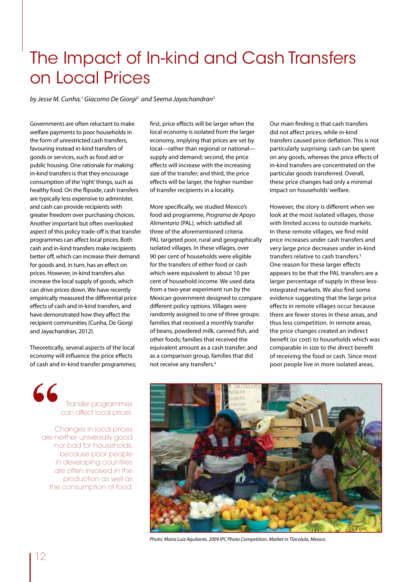# The Impact of In-kind and Cash Transfers on Local Prices

by Jesse M. Cunha,<sup>1</sup> Giacomo De Giorgi<sup>2</sup> and Seema Jayachandran<sup>3</sup>

Governments are often reluctant to make welfare payments to poor households in the form of unrestricted cash transfers, favouring instead in-kind transfers of goods or services, such as food aid or public housing. One rationale for making in-kind transfers is that they encourage consumption of the 'right' things, such as healthy food. On the flipside, cash transfers are typically less expensive to administer, and cash can provide recipients with greater freedom over purchasing choices. Another important but often overlooked aspect of this policy trade-off is that transfer programmes can affect local prices. Both cash and in-kind transfers make recipients better off, which can increase their demand for goods and, in turn, has an effect on prices. However, in-kind transfers also increase the local supply of goods, which can drive prices down. We have recently empirically measured the differential price effects of cash and in-kind transfers, and have demonstrated how they affect the recipient communities (Cunha, De Giorgi and Jayachandran, 2012).

Theoretically, several aspects of the local economy will influence the price effects of cash and in-kind transfer programmes; first, price effects will be larger when the local economy is isolated from the larger economy, implying that prices are set by local—rather than regional or national supply and demand; second, the price effects will increase with the increasing size of the transfer; and third, the price effects will be larger, the higher number of transfer recipients in a locality.

More specifically, we studied Mexico's food aid programme, *Programa de Apoyo Alimentario* (PAL), which satisfied all three of the aforementioned criteria. PAL targeted poor, rural and geographically isolated villages. In these villages, over 90 per cent of households were eligible for the transfers of either food or cash which were equivalent to about 10 per cent of household income. We used data from a two-year experiment run by the Mexican government designed to compare different policy options. Villages were randomly assigned to one of three groups: families that received a monthly transfer of beans, powdered milk, canned fish, and other foods; families that received the equivalent amount as a cash transfer; and as a comparison group, families that did not receive any transfers.4

Our main finding is that cash transfers did not affect prices, while in-kind transfers caused price deflation. This is not particularly surprising: cash can be spent on any goods, whereas the price effects of in-kind transfers are concentrated on the particular goods transferred. Overall, these price changes had only a minimal impact on households' welfare.

However, the story is different when we look at the most isolated villages, those with limited access to outside markets. In these remote villages, we find mild price increases under cash transfers and very large price decreases under in-kind transfers relative to cash transfers.<sup>5</sup> One reason for these larger effects appears to be that the PAL transfers are a larger percentage of supply in these lessintegrated markets. We also find some evidence suggesting that the large price effects in remote villages occur because there are fewer stores in these areas, and thus less competition. In remote areas, the price changes created an indirect benefit (or cost) to households which was comparable in size to the direct benefit of receiving the food or cash. Since most poor people live in more isolated areas,



Changes in local prices are neither universally good nor bad for households, because poor people in developing countries are often involved in the production as well as the consumption of food.



*Photo: Maria Luiz Aquilante, 2009 IPC Photo Competition. Market in Tlacolula, Mexico.*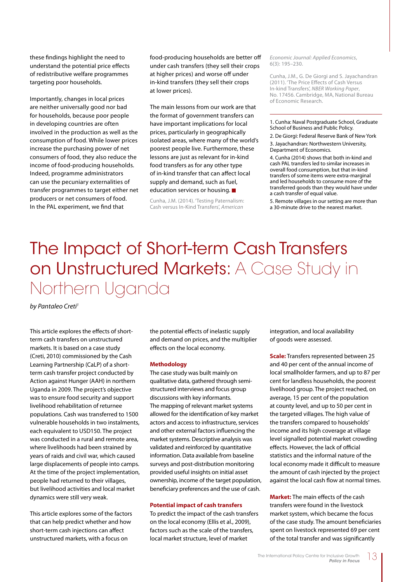these findings highlight the need to understand the potential price effects of redistributive welfare programmes targeting poor households.

Importantly, changes in local prices are neither universally good nor bad for households, because poor people in developing countries are often involved in the production as well as the consumption of food. While lower prices increase the purchasing power of net consumers of food, they also reduce the income of food-producing households. Indeed, programme administrators can use the pecuniary externalities of transfer programmes to target either net producers or net consumers of food. In the PAL experiment, we find that

food-producing households are better off under cash transfers (they sell their crops at higher prices) and worse off under in-kind transfers (they sell their crops at lower prices).

The main lessons from our work are that the format of government transfers can have important implications for local prices, particularly in geographically isolated areas, where many of the world's poorest people live. Furthermore, these lessons are just as relevant for in-kind food transfers as for any other type of in-kind transfer that can affect local supply and demand, such as fuel, education services or housing.

Cunha, J.M. (2014). 'Testing Paternalism: Cash versus In-Kind Transfers', *American*

*Economic Journal: Applied Economics*, 6(3): 195–230.

Cunha, J.M., G. De Giorgi and S. Jayachandran (2011). 'The Price Effects of Cash Versus In-kind Transfers', *NBER Working Paper*, No. 17456. Cambridge, MA, National Bureau of Economic Research.

1. Cunha: Naval Postgraduate School, Graduate School of Business and Public Policy.

2. De Giorgi: Federal Reserve Bank of New York 3. Jayachandran: Northwestern University, Department of Economics.

4. Cunha (2014) shows that both in-kind and cash PAL transfers led to similar increases in overall food consumption, but that in-kind transfers of some items were extra-marginal and led households to consume more of the transferred goods than they would have under a cash transfer of equal value.

5. Remote villages in our setting are more than a 30-minute drive to the nearest market.

# The Impact of Short-term Cash Transfers on Unstructured Markets: A Case Study in Northern Uganda

*by Pantaleo Creti1*

This article explores the effects of shortterm cash transfers on unstructured markets. It is based on a case study (Creti, 2010) commissioned by the Cash Learning Partnership (CaLP) of a shortterm cash transfer project conducted by Action against Hunger (AAH) in northern Uganda in 2009. The project's objective was to ensure food security and support livelihood rehabilitation of returnee populations. Cash was transferred to 1500 vulnerable households in two instalments, each equivalent to USD150. The project was conducted in a rural and remote area, where livelihoods had been strained by years of raids and civil war, which caused large displacements of people into camps. At the time of the project implementation, people had returned to their villages, but livelihood activities and local market dynamics were still very weak.

This article explores some of the factors that can help predict whether and how short-term cash injections can affect unstructured markets, with a focus on

the potential effects of inelastic supply and demand on prices, and the multiplier effects on the local economy.

### **Methodology**

The case study was built mainly on qualitative data, gathered through semistructured interviews and focus group discussions with key informants. The mapping of relevant market systems allowed for the identification of key market actors and access to infrastructure, services and other external factors influencing the market systems. Descriptive analysis was validated and reinforced by quantitative information. Data available from baseline surveys and post-distribution monitoring provided useful insights on initial asset ownership, income of the target population, beneficiary preferences and the use of cash.

### **Potential impact of cash transfers**

To predict the impact of the cash transfers on the local economy (Ellis et al., 2009), factors such as the scale of the transfers, local market structure, level of market

integration, and local availability of goods were assessed.

**Scale:** Transfers represented between 25 and 40 per cent of the annual income of local smallholder farmers, and up to 87 per cent for landless households, the poorest livelihood group. The project reached, on average, 15 per cent of the population at county level, and up to 50 per cent in the targeted villages. The high value of the transfers compared to households' income and its high coverage at village level signalled potential market crowding effects. However, the lack of official statistics and the informal nature of the local economy made it difficult to measure the amount of cash injected by the project against the local cash flow at normal times.

**Market:** The main effects of the cash transfers were found in the livestock market system, which became the focus of the case study. The amount beneficiaries spent on livestock represented 69 per cent of the total transfer and was significantly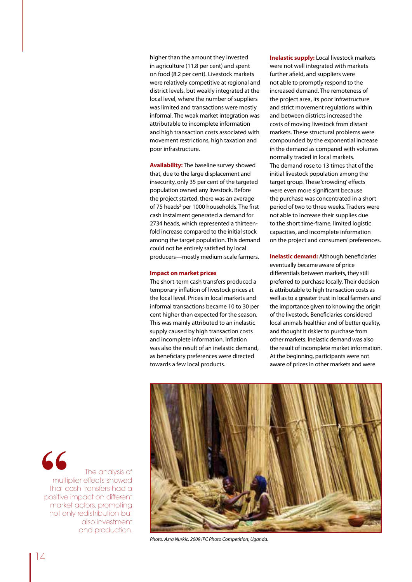higher than the amount they invested in agriculture (11.8 per cent) and spent on food (8.2 per cent). Livestock markets were relatively competitive at regional and district levels, but weakly integrated at the local level, where the number of suppliers was limited and transactions were mostly informal. The weak market integration was attributable to incomplete information and high transaction costs associated with movement restrictions, high taxation and poor infrastructure.

**Availability:** The baseline survey showed that, due to the large displacement and insecurity, only 35 per cent of the targeted population owned any livestock. Before the project started, there was an average of 75 heads<sup>2</sup> per 1000 households. The first cash instalment generated a demand for 2734 heads, which represented a thirteenfold increase compared to the initial stock among the target population. This demand could not be entirely satisfied by local producers—mostly medium-scale farmers.

### **Impact on market prices**

The short-term cash transfers produced a temporary inflation of livestock prices at the local level. Prices in local markets and informal transactions became 10 to 30 per cent higher than expected for the season. This was mainly attributed to an inelastic supply caused by high transaction costs and incomplete information. Inflation was also the result of an inelastic demand, as beneficiary preferences were directed towards a few local products.

**Inelastic supply:** Local livestock markets were not well integrated with markets further afield, and suppliers were not able to promptly respond to the increased demand. The remoteness of the project area, its poor infrastructure and strict movement regulations within and between districts increased the costs of moving livestock from distant markets. These structural problems were compounded by the exponential increase in the demand as compared with volumes normally traded in local markets. The demand rose to 13 times that of the initial livestock population among the target group. These 'crowding' effects were even more significant because the purchase was concentrated in a short period of two to three weeks. Traders were not able to increase their supplies due to the short time-frame, limited logistic capacities, and incomplete information on the project and consumers' preferences.

**Inelastic demand:** Although beneficiaries eventually became aware of price differentials between markets, they still preferred to purchase locally. Their decision is attributable to high transaction costs as well as to a greater trust in local farmers and the importance given to knowing the origin of the livestock. Beneficiaries considered local animals healthier and of better quality, and thought it riskier to purchase from other markets. Inelastic demand was also the result of incomplete market information. At the beginning, participants were not aware of prices in other markets and were



*Photo: Azra Nurkic, 2009 IPC Photo Competition; Uganda.*

**Solution**<br>
The analysis of<br>
multiplier effects showed<br>
that cash transfers had a<br>
positive impact on different multiplier effects showed that cash transfers had a market actors, promoting not only redistribution but also investment and production.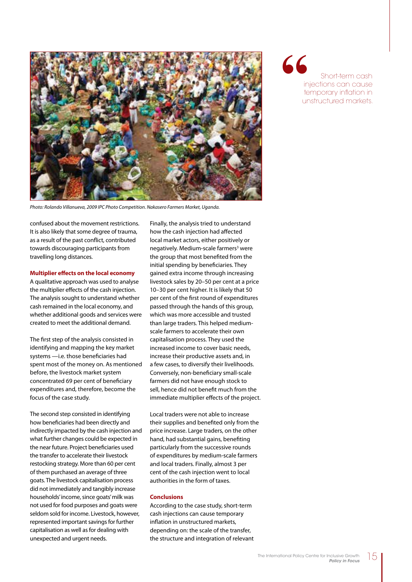

*Photo: Rolando Villanueva, 2009 IPC Photo Competition. Nakasero Farmers Market, Uganda.* 

confused about the movement restrictions. It is also likely that some degree of trauma, as a result of the past conflict, contributed towards discouraging participants from travelling long distances.

### **Multiplier effects on the local economy**

A qualitative approach was used to analyse the multiplier effects of the cash injection. The analysis sought to understand whether cash remained in the local economy, and whether additional goods and services were created to meet the additional demand.

The first step of the analysis consisted in identifying and mapping the key market systems —i.e. those beneficiaries had spent most of the money on. As mentioned before, the livestock market system concentrated 69 per cent of beneficiary expenditures and, therefore, become the focus of the case study.

The second step consisted in identifying how beneficiaries had been directly and indirectly impacted by the cash injection and what further changes could be expected in the near future. Project beneficiaries used the transfer to accelerate their livestock restocking strategy. More than 60 per cent of them purchased an average of three goats. The livestock capitalisation process did not immediately and tangibly increase households' income, since goats' milk was not used for food purposes and goats were seldom sold for income. Livestock, however, represented important savings for further capitalisation as well as for dealing with unexpected and urgent needs.

Finally, the analysis tried to understand how the cash injection had affected local market actors, either positively or negatively. Medium-scale farmers<sup>3</sup> were the group that most benefited from the initial spending by beneficiaries. They gained extra income through increasing livestock sales by 20–50 per cent at a price 10–30 per cent higher. It is likely that 50 per cent of the first round of expenditures passed through the hands of this group, which was more accessible and trusted than large traders. This helped mediumscale farmers to accelerate their own capitalisation process. They used the increased income to cover basic needs, increase their productive assets and, in a few cases, to diversify their livelihoods. Conversely, non-beneficiary small-scale farmers did not have enough stock to sell, hence did not benefit much from the immediate multiplier effects of the project.

Local traders were not able to increase their supplies and benefited only from the price increase. Large traders, on the other hand, had substantial gains, benefiting particularly from the successive rounds of expenditures by medium-scale farmers and local traders. Finally, almost 3 per cent of the cash injection went to local authorities in the form of taxes.

### **Conclusions**

According to the case study, short-term cash injections can cause temporary inflation in unstructured markets, depending on: the scale of the transfer, the structure and integration of relevant **Short-term cash**<br>injections can cause<br>temporary inflation in<br>unstructured markets. injections can cause temporary inflation in unstructured markets.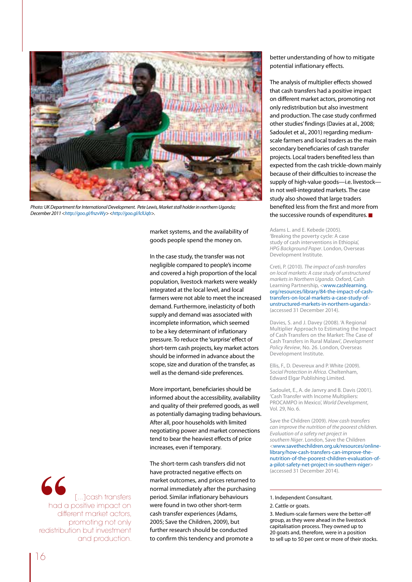

*Photo: UK Department for International Development. Pete Lewis, Market stall holder in northern Uganda; December 2011 <http://goo.gl/fnzvWy> <http://goo.gl/lclUqb>.* 

market systems, and the availability of goods people spend the money on.

In the case study, the transfer was not negligible compared to people's income and covered a high proportion of the local population, livestock markets were weakly integrated at the local level, and local farmers were not able to meet the increased demand. Furthermore, inelasticity of both supply and demand was associated with incomplete information, which seemed to be a key determinant of inflationary pressure. To reduce the 'surprise' effect of short-term cash projects, key market actors should be informed in advance about the scope, size and duration of the transfer, as well as the demand-side preferences.

More important, beneficiaries should be informed about the accessibility, availability and quality of their preferred goods, as well as potentially damaging trading behaviours. After all, poor households with limited negotiating power and market connections tend to bear the heaviest effects of price increases, even if temporary.

The short-term cash transfers did not have protracted negative effects on market outcomes, and prices returned to normal immediately after the purchasing period. Similar inflationary behaviours were found in two other short-term cash transfer experiences (Adams, 2005; Save the Children, 2009), but further research should be conducted to confirm this tendency and promote a

better understanding of how to mitigate potential inflationary effects.

The analysis of multiplier effects showed that cash transfers had a positive impact on different market actors, promoting not only redistribution but also investment and production. The case study confirmed other studies' findings (Davies at al., 2008; Sadoulet et al., 2001) regarding mediumscale farmers and local traders as the main secondary beneficiaries of cash transfer projects. Local traders benefited less than expected from the cash trickle-down mainly because of their difficulties to increase the supply of high-value goods—i.e. livestock in not well-integrated markets. The case study also showed that large traders benefited less from the first and more from the successive rounds of expenditures.

Adams L. and E. Kebede (2005). 'Breaking the poverty cycle: A case study of cash interventions in Ethiopia', *HPG Background Paper*. London, Overseas Development Institute.

Creti, P. (2010). *The impact of cash transfers on local markets: A case study of unstructured markets in Northern Uganda*. Oxford, Cash Learning Partnership, <www.cashlearning. org/resources/library/84-the-impact-of-cashtransfers-on-local-markets-a-case-study-ofunstructured-markets-in-northern-uganda> (accessed 31 December 2014).

Davies, S. and J. Davey (2008). 'A Regional Multiplier Approach to Estimating the Impact of Cash Transfers on the Market: The Case of Cash Transfers in Rural Malawi', *Development Policy Review*, No. 26. London, Overseas Development Institute.

Ellis, F., D. Devereux and P. White (2009). *Social Protection in Africa*. Cheltenham, Edward Elgar Publishing Limited.

Sadoulet, E., A. de Janvry and B. Davis (2001). 'Cash Transfer with Income Multipliers: PROCAMPO in Mexico', *World Development*, Vol. 29, No. 6.

Save the Children (2009). *How cash transfers can improve the nutrition of the poorest children. Evaluation of a safety net project in southern Niger*. London, Save the Children <www.savethechildren.org.uk/resources/onlinelibrary/how-cash-transfers-can-improve-thenutrition-of-the-poorest-children-evaluation-ofa-pilot-safety-net-project-in-southern-niger> (accessed 31 December 2014).

3. Medium-scale farmers were the better-off group, as they were ahead in the livestock capitalisation process. They owned up to 20 goats and, therefore, were in a position to sell up to 50 per cent or more of their stocks.



<sup>1.</sup> Independent Consultant.

<sup>2.</sup> Cattle or goats.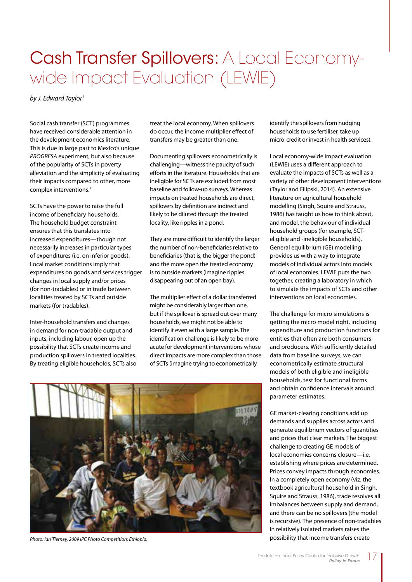# Cash Transfer Spillovers: A Local Economywide Impact Evaluation (LEWIE)

*by J. Edward Taylor1*

Social cash transfer (SCT) programmes have received considerable attention in the development economics literature. This is due in large part to Mexico's unique *PROGRESA* experiment, but also because of the popularity of SCTs in poverty alleviation and the simplicity of evaluating their impacts compared to other, more complex interventions.2

SCTs have the power to raise the full income of beneficiary households. The household budget constraint ensures that this translates into increased expenditures—though not necessarily increases in particular types of expenditures (i.e. on inferior goods). Local market conditions imply that expenditures on goods and services trigger changes in local supply and/or prices (for non-tradables) or in trade between localities treated by SCTs and outside markets (for tradables).

Inter-household transfers and changes in demand for non-tradable output and inputs, including labour, open up the possibility that SCTs create income and production spillovers in treated localities. By treating eligible households, SCTs also treat the local economy. When spillovers do occur, the income multiplier effect of transfers may be greater than one.

Documenting spillovers econometrically is challenging—witness the paucity of such efforts in the literature. Households that are ineligible for SCTs are excluded from most baseline and follow-up surveys. Whereas impacts on treated households are direct, spillovers by definition are indirect and likely to be diluted through the treated locality, like ripples in a pond.

They are more difficult to identify the larger the number of non-beneficiaries relative to beneficiaries (that is, the bigger the pond) and the more open the treated economy is to outside markets (imagine ripples disappearing out of an open bay).

The multiplier effect of a dollar transferred might be considerably larger than one, but if the spillover is spread out over many households, we might not be able to identify it even with a large sample. The identification challenge is likely to be more acute for development interventions whose direct impacts are more complex than those of SCTs (imagine trying to econometrically

identify the spillovers from nudging households to use fertiliser, take up micro-credit or invest in health services).

Local economy-wide impact evaluation (LEWIE) uses a different approach to evaluate the impacts of SCTs as well as a variety of other development interventions (Taylor and Filipski, 2014). An extensive literature on agricultural household modelling (Singh, Squire and Strauss, 1986) has taught us how to think about, and model, the behaviour of individual household groups (for example, SCTeligible and -ineligible households). General equilibrium (GE) modelling provides us with a way to integrate models of individual actors into models of local economies. LEWIE puts the two together, creating a laboratory in which to simulate the impacts of SCTs and other interventions on local economies.

The challenge for micro simulations is getting the micro model right, including expenditure and production functions for entities that often are both consumers and producers. With sufficiently detailed data from baseline surveys, we can econometrically estimate structural models of both eligible and ineligible households, test for functional forms and obtain confidence intervals around parameter estimates.

GE market-clearing conditions add up demands and supplies across actors and generate equilibrium vectors of quantities and prices that clear markets. The biggest challenge to creating GE models of local economies concerns closure—i.e. establishing where prices are determined. Prices convey impacts through economies. In a completely open economy (viz. the textbook agricultural household in Singh, Squire and Strauss, 1986), trade resolves all imbalances between supply and demand, and there can be no spillovers (the model is recursive). The presence of non-tradables in relatively isolated markets raises the possibility that income transfers create



*Photo: Ian Tierney, 2009 IPC Photo Competition; Ethiopia.*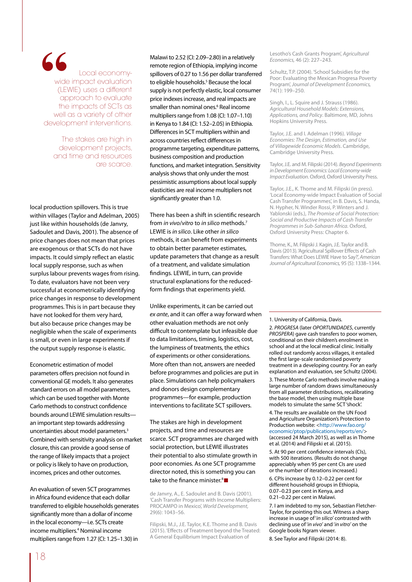**6**<br>
Local economy-<br>
vide impact evaluation<br>
(LEWIE) uses a different<br>
approach to evaluate wide impact evaluation (LEWIE) uses a different approach to evaluate the impacts of SCTs as well as a variety of other development interventions.

> The stakes are high in development projects, and time and resources are scarce.

local production spillovers. This is true within villages (Taylor and Adelman, 2005) just like within households (de Janvry, Sadoulet and Davis, 2001). The absence of price changes does not mean that prices are exogenous or that SCTs do not have impacts. It could simply reflect an elastic local supply response, such as when surplus labour prevents wages from rising. To date, evaluators have not been very successful at econometrically identifying price changes in response to development programmes. This is in part because they have not looked for them very hard, but also because price changes may be negligible when the scale of experiments is small, or even in large experiments if the output supply response is elastic.

Econometric estimation of model parameters offers precision not found in conventional GE models. It also generates standard errors on all model parameters, which can be used together with Monte Carlo methods to construct confidence bounds around LEWIE simulation results an important step towards addressing uncertainties about model parameters.<sup>3</sup> Combined with sensitivity analysis on market closure, this can provide a good sense of the range of likely impacts that a project or policy is likely to have on production, incomes, prices and other outcomes.

An evaluation of seven SCT programmes in Africa found evidence that each dollar transferred to eligible households generates significantly more than a dollar of income in the local economy—i.e. SCTs create income multipliers.4 Nominal income multipliers range from 1.27 (CI: 1.25–1.30) in

Malawi to 2.52 (CI: 2.09–2.80) in a relatively remote region of Ethiopia, implying income spillovers of 0.27 to 1.56 per dollar transferred to eligible households.<sup>5</sup> Because the local supply is not perfectly elastic, local consumer price indexes increase, and real impacts are smaller than nominal ones.<sup>6</sup> Real income multipliers range from 1.08 (CI: 1.07–1.10) in Kenya to 1.84 (CI: 1.52–2.05) in Ethiopia. Differences in SCT multipliers within and across countries reflect differences in programme targeting, expenditure patterns, business composition and production functions, and market integration. Sensitivity analysis shows that only under the most pessimistic assumptions about local supply elasticities are real income multipliers not significantly greater than 1.0.

There has been a shift in scientific research from *in vivo*/*vitro* to *in silico* methods.7 LEWIE is *in silico*. Like other *in silico* methods, it can benefit from experiments to obtain better parameter estimates, update parameters that change as a result of a treatment, and validate simulation findings. LEWIE, in turn, can provide structural explanations for the reducedform findings that experiments yield.

Unlike experiments, it can be carried out *ex ante*, and it can offer a way forward when other evaluation methods are not only difficult to contemplate but infeasible due to data limitations, timing, logistics, cost, the lumpiness of treatments, the ethics of experiments or other considerations. More often than not, answers are needed before programmes and policies are put in place. Simulations can help policymakers and donors design complementary programmes—for example, production interventions to facilitate SCT spillovers.

The stakes are high in development projects, and time and resources are scarce. SCT programmes are charged with social protection, but LEWIE illustrates their potential to also stimulate growth in poor economies. As one SCT programme director noted, this is something you can take to the finance minister.<sup>8</sup>

de Janvry, A., E. Sadoulet and B. Davis (2001). 'Cash Transfer Programs with Income Multipliers: PROCAMPO in Mexico', *World Development,* 29(6): 1043–56.

Filipski, M.J., J.E. Taylor, K.E. Thome and B. Davis (2015). 'Effects of Treatment beyond the Treated: A General Equilibrium Impact Evaluation of

Lesotho's Cash Grants Program', *Agricultural Economics,* 46 (2): 227–243.

Schultz, T.P. (2004). 'School Subsidies for the Poor: Evaluating the Mexican Progresa Poverty Program', *Journal of Development Economics,* 74(1): 199–250.

Singh, I., L. Squire and J. Strauss (1986). *Agricultural Household Models: Extensions, Applications, and Policy*. Baltimore, MD, Johns Hopkins University Press.

Taylor, J.E. and I. Adelman (1996). *Village Economies: The Design, Estimation, and Use of Villagewide Economic Models*. Cambridge, Cambridge University Press.

Taylor, J.E. and M. Filipski (2014). *Beyond Experiments in Development Economics: Local Economy-wide Impact Evaluation*. Oxford, Oxford University Press.

Taylor, J.E., K. Thome and M. Filipski (in press). 'Local Economy-wide Impact Evaluation of Social Cash Transfer Programmes', in B. Davis, S. Handa, N. Hypher, N. Winder Rossi, P. Winters and J. Yablonski (eds.), *The Promise of Social Protection: Social and Productive Impacts of Cash Transfer Programmes in Sub-Saharan Africa.* Oxford, Oxford University Press: Chapter 6.

Thome, K., M. Filipski J. Kagin, J.E. Taylor and B. Davis (2013). 'Agricultural Spillover Effects of Cash Transfers: What Does LEWIE Have to Say?', *American Journal of Agricultural Economics,* 95 (5): 1338–1344.

### 1. University of California, Davis.

2. *PROGRESA* (later *OPORTUNIDADES*, currently *PROSPERA*) gave cash transfers to poor women. conditional on their children's enrolment in school and at the local medical clinic. Initially rolled out randomly across villages, it entailed the first large-scale randomised poverty treatment in a developing country. For an early explanation and evaluation, see Schultz (2004).

3. These Monte Carlo methods involve making a large number of random draws simultaneously from all parameter distributions, recalibrating the base model, then using multiple base models to simulate the same SCT 'shock'.

4. The results are available on the UN Food and Agriculture Organization's Protection to Production website: <http://www.fao.org/ economic/ptop/publications/reports/en/> (accessed 24 March 2015), as well as in Thome et al. (2014) and Filipski et al. (2015).

5. At 90 per cent confidence intervals (CIs), with 500 iterations. (Results do not change appreciably when 95 per cent CIs are used or the number of iterations increased.)

6. CPIs increase by 0.12–0.22 per cent for different household groups in Ethiopia, 0.07–0.23 per cent in Kenya, and 0.21–0.22 per cent in Malawi.

7. I am indebted to my son, Sebastian Fletcher-Taylor, for pointing this out. Witness a sharp increase in usage of '*in silico'* contrasted with declining use of '*in vivo'* and '*in vitro'* on the Google books Ngram viewer.

8. See Taylor and Filipski (2014: 8).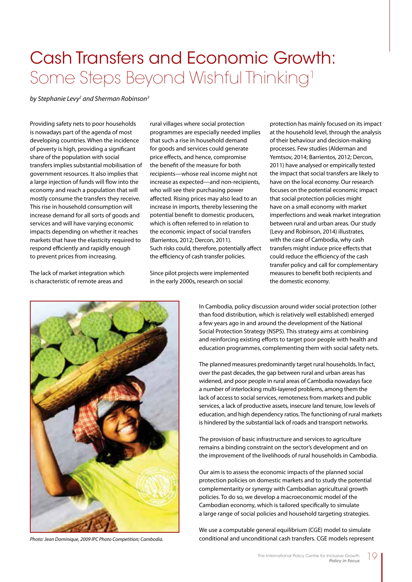# Cash Transfers and Economic Growth: Some Steps Beyond Wishful Thinking1

*by Stephanie Levy2 and Sherman Robinson3*

Providing safety nets to poor households is nowadays part of the agenda of most developing countries. When the incidence of poverty is high, providing a significant share of the population with social transfers implies substantial mobilisation of government resources. It also implies that a large injection of funds will flow into the economy and reach a population that will mostly consume the transfers they receive. This rise in household consumption will increase demand for all sorts of goods and services and will have varying economic impacts depending on whether it reaches markets that have the elasticity required to respond efficiently and rapidly enough to prevent prices from increasing.

The lack of market integration which is characteristic of remote areas and

rural villages where social protection programmes are especially needed implies that such a rise in household demand for goods and services could generate price effects, and hence, compromise the benefit of the measure for both recipients—whose real income might not increase as expected—and non-recipients, who will see their purchasing power affected. Rising prices may also lead to an increase in imports, thereby lessening the potential benefit to domestic producers, which is often referred to in relation to the economic impact of social transfers (Barrientos, 2012; Dercon, 2011). Such risks could, therefore, potentially affect the efficiency of cash transfer policies.

Since pilot projects were implemented in the early 2000s, research on social

protection has mainly focused on its impact at the household level, through the analysis of their behaviour and decision-making processes. Few studies (Alderman and Yemtsov, 2014; Barrientos, 2012; Dercon, 2011) have analysed or empirically tested the impact that social transfers are likely to have on the local economy. Our research focuses on the potential economic impact that social protection policies might have on a small economy with market imperfections and weak market integration between rural and urban areas. Our study (Levy and Robinson, 2014) illustrates, with the case of Cambodia, why cash transfers might induce price effects that could reduce the efficiency of the cash transfer policy and call for complementary measures to benefit both recipients and the domestic economy.



*Photo: Jean Dominique, 2009 IPC Photo Competition; Cambodia.* 

In Cambodia, policy discussion around wider social protection (other than food distribution, which is relatively well established) emerged a few years ago in and around the development of the National Social Protection Strategy (NSPS). This strategy aims at combining and reinforcing existing efforts to target poor people with health and education programmes, complementing them with social safety nets.

The planned measures predominantly target rural households. In fact, over the past decades, the gap between rural and urban areas has widened, and poor people in rural areas of Cambodia nowadays face a number of interlocking multi-layered problems, among them the lack of access to social services, remoteness from markets and public services, a lack of productive assets, insecure land tenure, low levels of education, and high dependency ratios. The functioning of rural markets is hindered by the substantial lack of roads and transport networks.

The provision of basic infrastructure and services to agriculture remains a binding constraint on the sector's development and on the improvement of the livelihoods of rural households in Cambodia.

Our aim is to assess the economic impacts of the planned social protection policies on domestic markets and to study the potential complementarity or synergy with Cambodian agricultural growth policies. To do so, we develop a macroeconomic model of the Cambodian economy, which is tailored specifically to simulate a large range of social policies and household targeting strategies.

We use a computable general equilibrium (CGE) model to simulate conditional and unconditional cash transfers. CGE models represent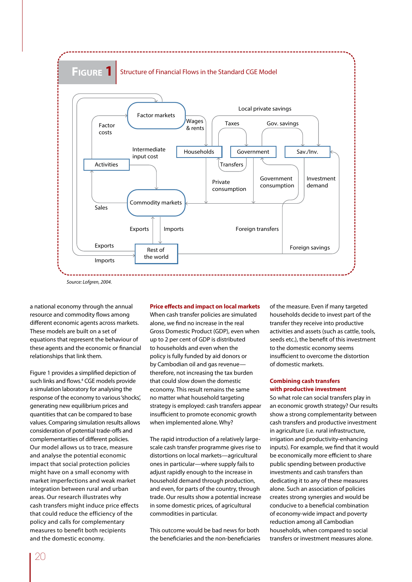

a national economy through the annual resource and commodity flows among different economic agents across markets. These models are built on a set of equations that represent the behaviour of these agents and the economic or financial relationships that link them.

Figure 1 provides a simplified depiction of such links and flows.<sup>4</sup> CGE models provide a simulation laboratory for analysing the response of the economy to various 'shocks', generating new equilibrium prices and quantities that can be compared to base values. Comparing simulation results allows consideration of potential trade-offs and complementarities of different policies. Our model allows us to trace, measure and analyse the potential economic impact that social protection policies might have on a small economy with market imperfections and weak market integration between rural and urban areas. Our research illustrates why cash transfers might induce price effects that could reduce the efficiency of the policy and calls for complementary measures to benefit both recipients and the domestic economy.

### **Price effects and impact on local markets**

When cash transfer policies are simulated alone, we find no increase in the real Gross Domestic Product (GDP), even when up to 2 per cent of GDP is distributed to households and even when the policy is fully funded by aid donors or by Cambodian oil and gas revenue therefore, not increasing the tax burden that could slow down the domestic economy. This result remains the same no matter what household targeting strategy is employed: cash transfers appear insufficient to promote economic growth when implemented alone. Why?

The rapid introduction of a relatively largescale cash transfer programme gives rise to distortions on local markets—agricultural ones in particular—where supply fails to adjust rapidly enough to the increase in household demand through production, and even, for parts of the country, through trade. Our results show a potential increase in some domestic prices, of agricultural commodities in particular.

This outcome would be bad news for both the beneficiaries and the non-beneficiaries of the measure. Even if many targeted households decide to invest part of the transfer they receive into productive activities and assets (such as cattle, tools, seeds etc.), the benefit of this investment to the domestic economy seems insufficient to overcome the distortion of domestic markets.

### **Combining cash transfers with productive investment**

So what role can social transfers play in an economic growth strategy? Our results show a strong complementarity between cash transfers and productive investment in agriculture (i.e. rural infrastructure, irrigation and productivity-enhancing inputs). For example, we find that it would be economically more efficient to share public spending between productive investments and cash transfers than dedicating it to any of these measures alone. Such an association of policies creates strong synergies and would be conducive to a beneficial combination of economy-wide impact and poverty reduction among all Cambodian households, when compared to social transfers or investment measures alone.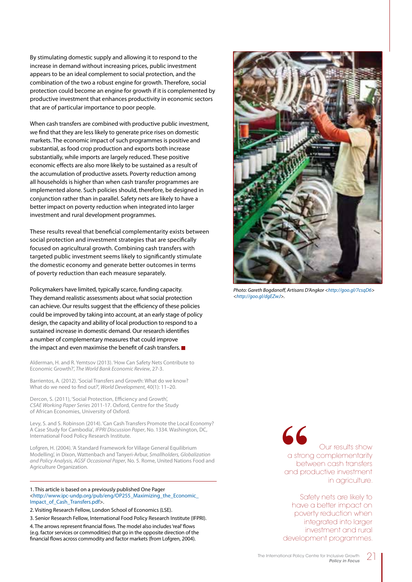By stimulating domestic supply and allowing it to respond to the increase in demand without increasing prices, public investment appears to be an ideal complement to social protection, and the combination of the two a robust engine for growth. Therefore, social protection could become an engine for growth if it is complemented by productive investment that enhances productivity in economic sectors that are of particular importance to poor people.

When cash transfers are combined with productive public investment, we find that they are less likely to generate price rises on domestic markets. The economic impact of such programmes is positive and substantial, as food crop production and exports both increase substantially, while imports are largely reduced. These positive economic effects are also more likely to be sustained as a result of the accumulation of productive assets. Poverty reduction among all households is higher than when cash transfer programmes are implemented alone. Such policies should, therefore, be designed in conjunction rather than in parallel. Safety nets are likely to have a better impact on poverty reduction when integrated into larger investment and rural development programmes.

These results reveal that beneficial complementarity exists between social protection and investment strategies that are specifically focused on agricultural growth. Combining cash transfers with targeted public investment seems likely to significantly stimulate the domestic economy and generate better outcomes in terms of poverty reduction than each measure separately.

Policymakers have limited, typically scarce, funding capacity. They demand realistic assessments about what social protection can achieve. Our results suggest that the efficiency of these policies could be improved by taking into account, at an early stage of policy design, the capacity and ability of local production to respond to a sustained increase in domestic demand. Our research identifies a number of complementary measures that could improve the impact and even maximise the benefit of cash transfers.

Alderman, H. and R. Yemtsov (2013). 'How Can Safety Nets Contribute to Economic Growth?', *The World Bank Economic Review*, 27-3.

Barrientos, A. (2012). 'Social Transfers and Growth: What do we know? What do we need to find out?', *World Development*, 40(1): 11–20.

Dercon, S. (2011), 'Social Protection, Efficiency and Growth', *CSAE Working Paper Series* 2011-17. Oxford, Centre for the Study of African Economies, University of Oxford.

Levy, S. and S. Robinson (2014). 'Can Cash Transfers Promote the Local Economy? A Case Study for Cambodia'*, IFPRI Discussion Paper*, No. 1334. Washington, DC, International Food Policy Research Institute.

Lofgren, H. (2004). 'A Standard Framework for Village General Equilibrium Modelling', in Dixon, Wattenbach and Tanyeri-Arbur, *Smallholders, Globalization and Policy Analysis, AGSF Occasional Paper*, No. 5. Rome, United Nations Food and Agriculture Organization.

1. This article is based on a previously published One Pager <http://www.ipc-undp.org/pub/eng/OP255\_Maximizing\_the\_Economic\_ Impact\_of\_Cash\_Transfers.pdf>.

2. Visiting Research Fellow, London School of Economics (LSE).

3. Senior Research Fellow, International Food Policy Research Institute (IFPRI).

4. The arrows represent financial flows. The model also includes 'real' flows (e.g. factor services or commodities) that go in the opposite direction of the financial flows across commodity and factor markets (from Lofgren, 2004).



*Photo: Gareth Bogdanoff, Artisans D'Angkor <http://goo.gl/7csqD6> <http://goo.gl/dgEZwJ>.* 

**Solution**<br> **Solution**<br> **Solution**<br> **Solution**<br> **Solution**<br> **Solution**<br> **Solution**<br> **Solution**<br> **Solution**<br> **Solution**<br> **Solution**<br> **Solution**<br> **Solution**<br> **Solution** a strong complementarity between cash transfers in agriculture.

Safety nets are likely to have a better impact on poverty reduction when integrated into larger investment and rural development programmes.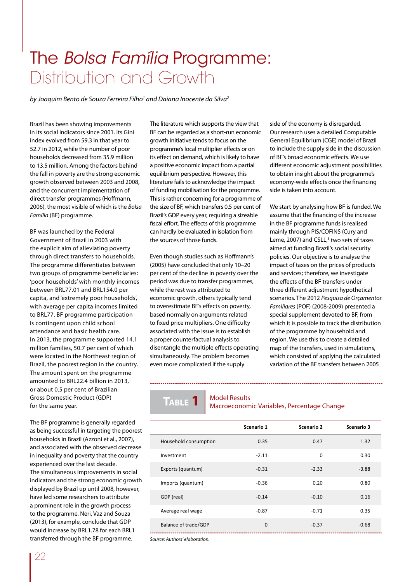# The *Bolsa Família* Programme: Distribution and Growth

by Joaquim Bento de Souza Ferreira Filho<sup>1</sup> and Daiana Inocente da Silva<sup>2</sup>

Brazil has been showing improvements in its social indicators since 2001. Its Gini index evolved from 59.3 in that year to 52.7 in 2012, while the number of poor households decreased from 35.9 million to 13.5 million. Among the factors behind the fall in poverty are the strong economic growth observed between 2003 and 2008, and the concurrent implementation of direct transfer programmes (Hoffmann, 2006), the most visible of which is the *Bolsa Família* (BF) programme.

BF was launched by the Federal Government of Brazil in 2003 with the explicit aim of alleviating poverty through direct transfers to households. The programme differentiates between two groups of programme beneficiaries: 'poor households' with monthly incomes between BRL77.01 and BRL154.0 per capita, and 'extremely poor households', with average per capita incomes limited to BRL77. BF programme participation is contingent upon child school attendance and basic health care. In 2013, the programme supported 14.1 million families, 50.7 per cent of which were located in the Northeast region of Brazil, the poorest region in the country. The amount spent on the programme amounted to BRL22.4 billion in 2013, or about 0.5 per cent of Brazilian Gross Domestic Product (GDP) for the same year.

The BF programme is generally regarded as being successful in targeting the poorest households in Brazil (Azzoni et al., 2007), and associated with the observed decrease in inequality and poverty that the country experienced over the last decade. The simultaneous improvements in social indicators and the strong economic growth displayed by Brazil up until 2008, however, have led some researchers to attribute a prominent role in the growth process to the programme. Neri, Vaz and Souza (2013), for example, conclude that GDP would increase by BRL1.78 for each BRL1 transferred through the BF programme.

The literature which supports the view that BF can be regarded as a short-run economic growth initiative tends to focus on the programme's local multiplier effects or on its effect on demand, which is likely to have a positive economic impact from a partial equilibrium perspective. However, this literature fails to acknowledge the impact of funding mobilisation for the programme. This is rather concerning for a programme of the size of BF, which transfers 0.5 per cent of Brazil's GDP every year, requiring a sizeable fiscal effort. The effects of this programme can hardly be evaluated in isolation from the sources of those funds.

Even though studies such as Hoffmann's (2005) have concluded that only 10–20 per cent of the decline in poverty over the period was due to transfer programmes, while the rest was attributed to economic growth, others typically tend to overestimate BF's effects on poverty, based normally on arguments related to fixed price multipliers. One difficulty associated with the issue is to establish a proper counterfactual analysis to disentangle the multiple effects operating simultaneously. The problem becomes even more complicated if the supply

side of the economy is disregarded. Our research uses a detailed Computable General Equilibrium (CGE) model of Brazil to include the supply side in the discussion of BF's broad economic effects. We use different economic adjustment possibilities to obtain insight about the programme's economy-wide effects once the financing side is taken into account.

We start by analysing how BF is funded. We assume that the financing of the increase in the BF programme funds is realised mainly through PIS/COFINS (Cury and Leme, 2007) and CSLL,<sup>3</sup> two sets of taxes aimed at funding Brazil's social security policies. Our objective is to analyse the impact of taxes on the prices of products and services; therefore, we investigate the effects of the BF transfers under three different adjustment hypothetical scenarios. The 2012 *Pesquisa de Orçamentos Familiares* (POF) (2008-2009) presented a special supplement devoted to BF, from which it is possible to track the distribution of the programme by household and region. We use this to create a detailed map of the transfers, used in simulations, which consisted of applying the calculated variation of the BF transfers between 2005

# Model Results **TABLE 1** Macroeconomic Variables, Percentage Change

|                       | Scenario 1 | Scenario 2 | Scenario 3 |
|-----------------------|------------|------------|------------|
| Household consumption | 0.35       | 0.47       | 1.32       |
| Investment            | $-2.11$    | $\Omega$   | 0.30       |
| Exports (quantum)     | $-0.31$    | $-2.33$    | $-3.88$    |
| Imports (quantum)     | $-0.36$    | 0.20       | 0.80       |
| GDP (real)            | $-0.14$    | $-0.10$    | 0.16       |
| Average real wage     | $-0.87$    | $-0.71$    | 0.35       |
| Balance of trade/GDP  | $\Omega$   | $-0.37$    | $-0.68$    |

*Source: Authors' elaboration.*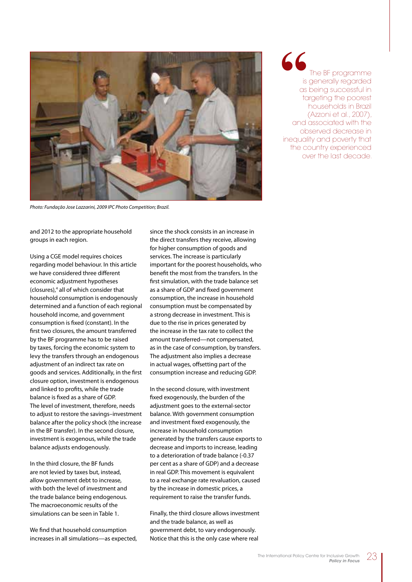

*Photo: Fundação Jose Lazzarini, 2009 IPC Photo Competition; Brazil.* 

and 2012 to the appropriate household groups in each region.

Using a CGE model requires choices regarding model behaviour. In this article we have considered three different economic adjustment hypotheses (closures),4 all of which consider that household consumption is endogenously determined and a function of each regional household income, and government consumption is fixed (constant). In the first two closures, the amount transferred by the BF programme has to be raised by taxes, forcing the economic system to levy the transfers through an endogenous adjustment of an indirect tax rate on goods and services. Additionally, in the first closure option, investment is endogenous and linked to profits, while the trade balance is fixed as a share of GDP. The level of investment, therefore, needs to adjust to restore the savings–investment balance after the policy shock (the increase in the BF transfer). In the second closure, investment is exogenous, while the trade balance adjusts endogenously.

In the third closure, the BF funds are not levied by taxes but, instead, allow government debt to increase, with both the level of investment and the trade balance being endogenous. The macroeconomic results of the simulations can be seen in Table 1.

We find that household consumption increases in all simulations—as expected,

since the shock consists in an increase in the direct transfers they receive, allowing for higher consumption of goods and services. The increase is particularly important for the poorest households, who benefit the most from the transfers. In the first simulation, with the trade balance set as a share of GDP and fixed government consumption, the increase in household consumption must be compensated by a strong decrease in investment. This is due to the rise in prices generated by the increase in the tax rate to collect the amount transferred—not compensated, as in the case of consumption, by transfers. The adjustment also implies a decrease in actual wages, offsetting part of the consumption increase and reducing GDP.

In the second closure, with investment fixed exogenously, the burden of the adjustment goes to the external-sector balance. With government consumption and investment fixed exogenously, the increase in household consumption generated by the transfers cause exports to decrease and imports to increase, leading to a deterioration of trade balance (-0.37 per cent as a share of GDP) and a decrease in real GDP. This movement is equivalent to a real exchange rate revaluation, caused by the increase in domestic prices, a requirement to raise the transfer funds.

Finally, the third closure allows investment and the trade balance, as well as government debt, to vary endogenously. Notice that this is the only case where real

**Solution**<br> **S** The BF programme<br>
is generally regarded<br>
as being successful in<br>
targeting the poorest is generally regarded as being successful in targeting the poorest households in Brazil (Azzoni et al., 2007), and associated with the observed decrease in inequality and poverty that the country experienced over the last decade.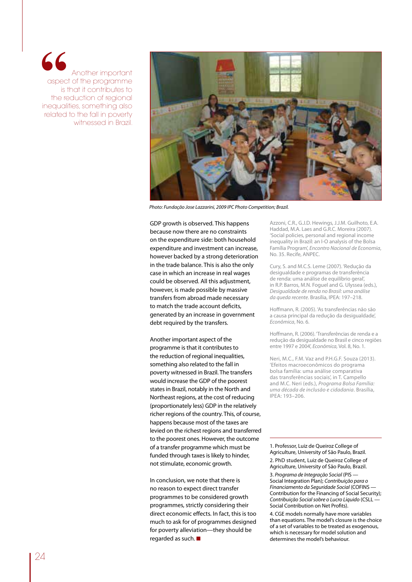**Solution**<br>
Another important<br>
is that it contributes to<br>
the reduction of regional aspect of the programme is that it contributes to the reduction of regional inequalities, something also related to the fall in poverty witnessed in Brazil.



*Photo: Fundação Jose Lazzarini, 2009 IPC Photo Competition; Brazil.* 

GDP growth is observed. This happens because now there are no constraints on the expenditure side: both household expenditure and investment can increase, however backed by a strong deterioration in the trade balance. This is also the only case in which an increase in real wages could be observed. All this adjustment, however, is made possible by massive transfers from abroad made necessary to match the trade account deficits, generated by an increase in government debt required by the transfers.

Another important aspect of the programme is that it contributes to the reduction of regional inequalities, something also related to the fall in poverty witnessed in Brazil. The transfers would increase the GDP of the poorest states in Brazil, notably in the North and Northeast regions, at the cost of reducing (proportionately less) GDP in the relatively richer regions of the country. This, of course, happens because most of the taxes are levied on the richest regions and transferred to the poorest ones. However, the outcome of a transfer programme which must be funded through taxes is likely to hinder, not stimulate, economic growth.

In conclusion, we note that there is no reason to expect direct transfer programmes to be considered growth programmes, strictly considering their direct economic effects. In fact, this is too much to ask for of programmes designed for poverty alleviation—they should be regarded as such.

Azzoni, C.R., G.J.D. Hewings, J.J.M. Guilhoto, E.A. Haddad, M.A. Laes and G.R.C. Moreira (2007). 'Social policies, personal and regional income inequality in Brazil: an I-O analysis of the Bolsa Família Program', *Encontro Nacional de Economia*, No. 35. Recife, ANPEC.

Cury, S. and M.C.S. Leme (2007). 'Redução da desigualdade e programas de transferência de renda: uma análise de equilíbrio geral', in R.P. Barros, M.N. Foguel and G. Ulyssea (eds.), *Desigualdade de renda no Brasil: uma análise da queda recente*. Brasília, IPEA: 197–218.

Hoffmann, R. (2005). 'As transferências não são a causa principal da redução da desigualdade', *Econômica*, No. 6.

Hoffmann, R. (2006). 'Transferências de renda e a redução da desigualdade no Brasil e cinco regiões entre 1997 e 2004', *Econômica,* Vol. 8, No. 1.

Neri, M.C., F.M. Vaz and P.H.G.F. Souza (2013). 'Efeitos macroeconômicos do programa bolsa família: uma análise comparativa das transferências sociais', in T. Campello and M.C. Neri (eds.), *Programa Bolsa Família: uma década de inclusão e cidadania*. Brasília, IPEA: 193–206.

1. Professor, Luiz de Queiroz College of Agriculture, University of São Paulo, Brazil.

3. *Programa de Integração Social* (PIS — Social Integration Plan); *Contribuição para o Financiamento da Seguridade Social* (COFINS — Contribution for the Financing of Social Security); *Contribuição Social sobre o Lucro Liquido* (CSLL — Social Contribution on Net Profits).

4. CGE models normally have more variables than equations. The model's closure is the choice of a set of variables to be treated as exogenous, which is necessary for model solution and determines the model's behaviour.

<sup>2.</sup> PhD student, Luiz de Queiroz College of Agriculture, University of São Paulo, Brazil.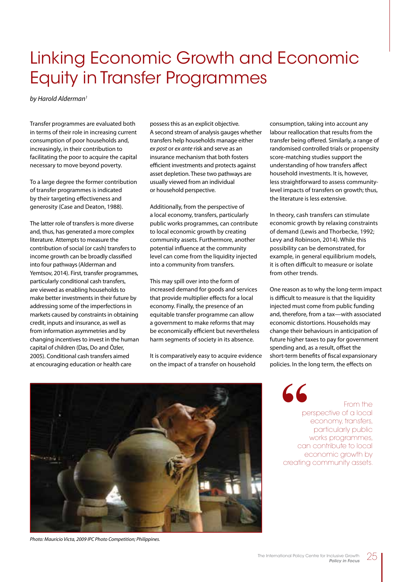# Linking Economic Growth and Economic Equity in Transfer Programmes

*by Harold Alderman1*

Transfer programmes are evaluated both in terms of their role in increasing current consumption of poor households and, increasingly, in their contribution to facilitating the poor to acquire the capital necessary to move beyond poverty.

To a large degree the former contribution of transfer programmes is indicated by their targeting effectiveness and generosity (Case and Deaton, 1988).

The latter role of transfers is more diverse and, thus, has generated a more complex literature. Attempts to measure the contribution of social (or cash) transfers to income growth can be broadly classified into four pathways (Alderman and Yemtsov, 2014). First, transfer programmes, particularly conditional cash transfers, are viewed as enabling households to make better investments in their future by addressing some of the imperfections in markets caused by constraints in obtaining credit, inputs and insurance, as well as from information asymmetries and by changing incentives to invest in the human capital of children (Das, Do and Özler, 2005). Conditional cash transfers aimed at encouraging education or health care

possess this as an explicit objective. A second stream of analysis gauges whether transfers help households manage either *ex post* or *ex ante* risk and serve as an insurance mechanism that both fosters efficient investments and protects against asset depletion. These two pathways are usually viewed from an individual or household perspective.

Additionally, from the perspective of a local economy, transfers, particularly public works programmes, can contribute to local economic growth by creating community assets. Furthermore, another potential influence at the community level can come from the liquidity injected into a community from transfers.

This may spill over into the form of increased demand for goods and services that provide multiplier effects for a local economy. Finally, the presence of an equitable transfer programme can allow a government to make reforms that may be economically efficient but nevertheless harm segments of society in its absence.

It is comparatively easy to acquire evidence on the impact of a transfer on household

consumption, taking into account any labour reallocation that results from the transfer being offered. Similarly, a range of randomised controlled trials or propensity score-matching studies support the understanding of how transfers affect household investments. It is, however, less straightforward to assess communitylevel impacts of transfers on growth; thus, the literature is less extensive.

In theory, cash transfers can stimulate economic growth by relaxing constraints of demand (Lewis and Thorbecke, 1992; Levy and Robinson, 2014). While this possibility can be demonstrated, for example, in general equilibrium models, it is often difficult to measure or isolate from other trends.

One reason as to why the long-term impact is difficult to measure is that the liquidity injected must come from public funding and, therefore, from a tax—with associated economic distortions. Households may change their behaviours in anticipation of future higher taxes to pay for government spending and, as a result, offset the short-term benefits of fiscal expansionary policies. In the long term, the effects on



*Photo: Mauricio Victa, 2009 IPC Photo Competition; Philippines.* 

**Solution**<br>**From the**<br>**Perspective of a local<br>economy, transfers,<br>particularly public** perspective of a local economy, transfers, particularly public works programmes, can contribute to local economic growth by creating community assets.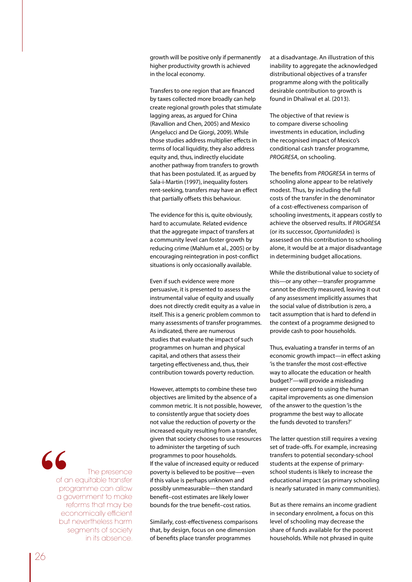growth will be positive only if permanently higher productivity growth is achieved in the local economy.

Transfers to one region that are financed by taxes collected more broadly can help create regional growth poles that stimulate lagging areas, as argued for China (Ravallion and Chen, 2005) and Mexico (Angelucci and De Giorgi, 2009). While those studies address multiplier effects in terms of local liquidity, they also address equity and, thus, indirectly elucidate another pathway from transfers to growth that has been postulated. If, as argued by Sala-i-Martin (1997), inequality fosters rent-seeking, transfers may have an effect that partially offsets this behaviour.

The evidence for this is, quite obviously, hard to accumulate. Related evidence that the aggregate impact of transfers at a community level can foster growth by reducing crime (Mahlum et al., 2005) or by encouraging reintegration in post-conflict situations is only occasionally available.

Even if such evidence were more persuasive, it is presented to assess the instrumental value of equity and usually does not directly credit equity as a value in itself. This is a generic problem common to many assessments of transfer programmes. As indicated, there are numerous studies that evaluate the impact of such programmes on human and physical capital, and others that assess their targeting effectiveness and, thus, their contribution towards poverty reduction.

However, attempts to combine these two objectives are limited by the absence of a common metric. It is not possible, however, to consistently argue that society does not value the reduction of poverty or the increased equity resulting from a transfer, given that society chooses to use resources to administer the targeting of such programmes to poor households. If the value of increased equity or reduced poverty is believed to be positive—even if this value is perhaps unknown and possibly unmeasurable—then standard benefit–cost estimates are likely lower bounds for the true benefit–cost ratios.

Similarly, cost-effectiveness comparisons that, by design, focus on one dimension of benefits place transfer programmes

at a disadvantage. An illustration of this inability to aggregate the acknowledged distributional objectives of a transfer programme along with the politically desirable contribution to growth is found in Dhaliwal et al. (2013).

The objective of that review is to compare diverse schooling investments in education, including the recognised impact of Mexico's conditional cash transfer programme, *PROGRESA*, on schooling.

The benefits from *PROGRESA* in terms of schooling alone appear to be relatively modest. Thus, by including the full costs of the transfer in the denominator of a cost-effectiveness comparison of schooling investments, it appears costly to achieve the observed results. If *PROGRESA* (or its successor, *Oportunidades*) is assessed on this contribution to schooling alone, it would be at a major disadvantage in determining budget allocations.

While the distributional value to society of this—or any other—transfer programme cannot be directly measured, leaving it out of any assessment implicitly assumes that the social value of distribution is zero, a tacit assumption that is hard to defend in the context of a programme designed to provide cash to poor households.

Thus, evaluating a transfer in terms of an economic growth impact—in effect asking 'is the transfer the most cost-effective way to allocate the education or health budget?'—will provide a misleading answer compared to using the human capital improvements as one dimension of the answer to the question 'is the programme the best way to allocate the funds devoted to transfers?'

The latter question still requires a vexing set of trade-offs. For example, increasing transfers to potential secondary-school students at the expense of primaryschool students is likely to increase the educational impact (as primary schooling is nearly saturated in many communities).

But as there remains an income gradient in secondary enrolment, a focus on this level of schooling may decrease the share of funds available for the poorest households. While not phrased in quite

**6**<br>
The presence<br>
of an equitable transfer<br>
programme can allow<br>
a government to make of an equitable transfer programme can allow a government to make reforms that may be economically efficient but nevertheless harm segments of society in its absence.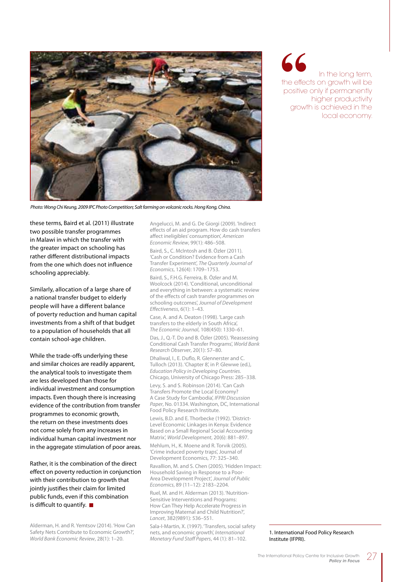

*Photo: Wong Chi Keung, 2009 IPC Photo Competition; Salt farming on volcanic rocks. Hong Kong, China.*

these terms, Baird et al. (2011) illustrate two possible transfer programmes in Malawi in which the transfer with the greater impact on schooling has rather different distributional impacts from the one which does not influence schooling appreciably.

Similarly, allocation of a large share of a national transfer budget to elderly people will have a different balance of poverty reduction and human capital investments from a shift of that budget to a population of households that all contain school-age children.

While the trade-offs underlying these and similar choices are readily apparent, the analytical tools to investigate them are less developed than those for individual investment and consumption impacts. Even though there is increasing evidence of the contribution from transfer programmes to economic growth, the return on these investments does not come solely from any increases in individual human capital investment nor in the aggregate stimulation of poor areas.

Rather, it is the combination of the direct effect on poverty reduction in conjunction with their contribution to growth that jointly justifies their claim for limited public funds, even if this combination is difficult to quantify.  $\blacksquare$ 

Alderman, H. and R. Yemtsov (2014). 'How Can Safety Nets Contribute to Economic Growth?', *World Bank Economic Review*, 28(1): 1–20.

Angelucci, M. and G. De Giorgi (2009). 'Indirect effects of an aid program. How do cash transfers affect ineligibles' consumption', *American Economic Review*, 99(1): 486–508.

Baird, S., C. McIntosh and B. Özler (2011). 'Cash or Condition? Evidence from a Cash Transfer Experiment', *The Quarterly Journal of Economics*, 126(4): 1709–1753.

Baird, S., F.H.G. Ferreira, B. Özler and M. Woolcock (2014). 'Conditional, unconditional and everything in between: a systematic review of the effects of cash transfer programmes on schooling outcomes', *Journal of Development Effectiveness*, 6(1): 1–43.

Case, A. and A. Deaton (1998). 'Large cash transfers to the elderly in South Africa', *The Economic Journal*, 108(450): 1330–61.

Das, J., Q.-T. Do and B. Özler (2005). 'Reassessing Conditional Cash Transfer Programs', *World Bank Research Observer*, 20(1): 57–80.

Dhaliwal, I., E. Duflo, R. Glennerster and C. Tulloch (2013). 'Chapter 8', in P. Glewwe (ed.), *Education Policy in Developing Countries*. Chicago, University of Chicago Press: 285–338. Levy, S. and S. Robinson (2014). 'Can Cash Transfers Promote the Local Economy? A Case Study for Cambodia', *IFPRI Discussion Paper*, No. 01334. Washington, DC, International Food Policy Research Institute.

Lewis, B.D. and E. Thorbecke (1992). 'District-Level Economic Linkages in Kenya: Evidence Based on a Small Regional Social Accounting Matrix', *World Development*, 20(6): 881–897. Mehlum, H., K. Moene and R. Torvik (2005).

'Crime induced poverty traps', Journal of Development Economics, 77: 325–340. Ravallion, M. and S. Chen (2005). 'Hidden Impact:

Household Saving in Response to a Poor-Area Development Project', *Journal of Public Economics*, 89 (11–12): 2183–2204.

Ruel, M. and H. Alderman (2013). 'Nutrition-Sensitive Interventions and Programs: How Can They Help Accelerate Progress in Improving Maternal and Child Nutrition?', *Lancet*, 382(9891): 536–551.

Sala-I-Martin, X. (1997). 'Transfers, social safety nets, and economic growth', *International Monetary Fund Staff Papers*, 44 (1): 81–102.

**Solution** in the long term, the effects on growth will be positive only if permanently higher productivity the effects on growth will be positive only if permanently higher productivity growth is achieved in the local economy.

### 1. International Food Policy Research Institute (IFPRI).